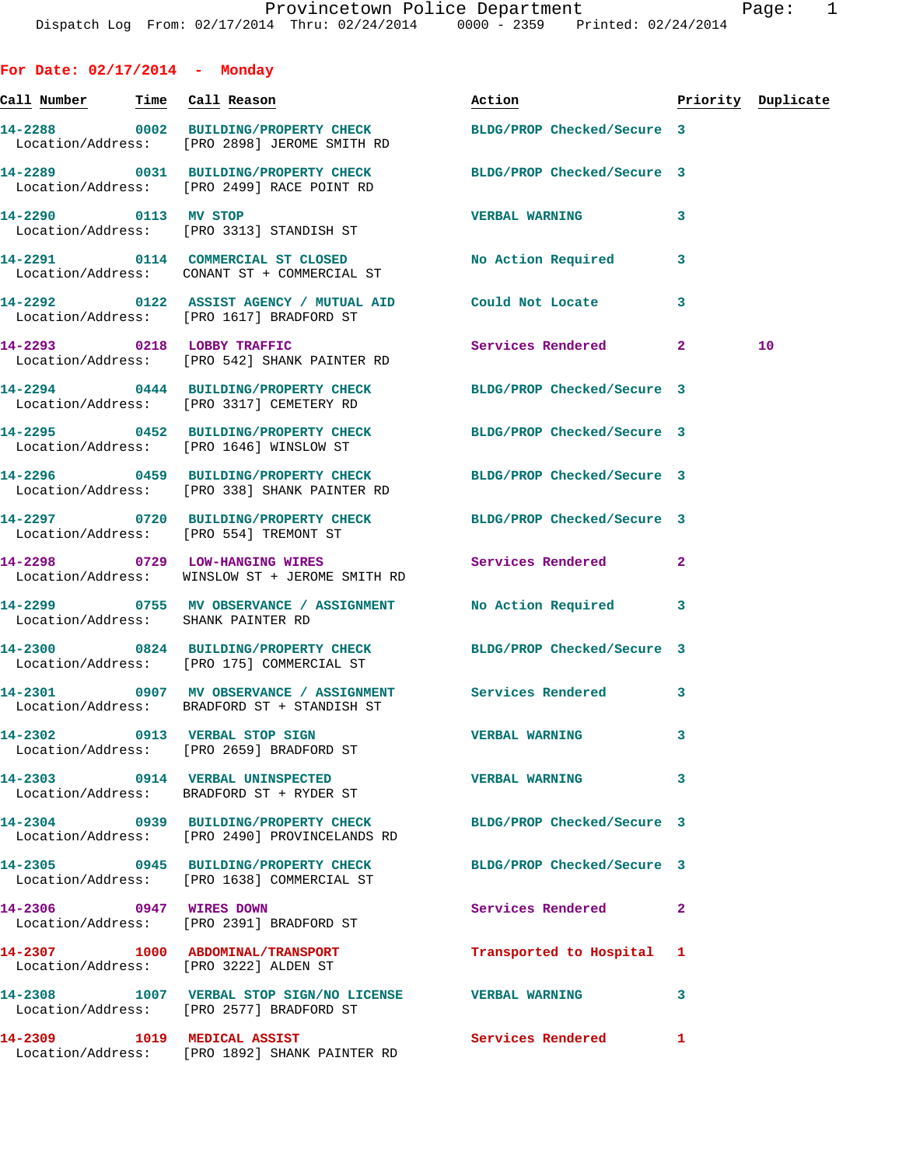**For Date: 02/17/2014 - Monday Call Number Time Call Reason Action Priority Duplicate 14-2288 0002 BUILDING/PROPERTY CHECK BLDG/PROP Checked/Secure 3**  Location/Address: [PRO 2898] JEROME SMITH RD **14-2289 0031 BUILDING/PROPERTY CHECK BLDG/PROP Checked/Secure 3**  Location/Address: [PRO 2499] RACE POINT RD **14-2290 0113 MV STOP VERBAL WARNING 3**  Location/Address: [PRO 3313] STANDISH ST **14-2291 0114 COMMERCIAL ST CLOSED No Action Required 3**  Location/Address: CONANT ST + COMMERCIAL ST **14-2292 0122 ASSIST AGENCY / MUTUAL AID Could Not Locate 3**  Location/Address: [PRO 1617] BRADFORD ST **14-2293 0218 LOBBY TRAFFIC Services Rendered 2 10**  Location/Address: [PRO 542] SHANK PAINTER RD **14-2294 0444 BUILDING/PROPERTY CHECK BLDG/PROP Checked/Secure 3**  Location/Address: [PRO 3317] CEMETERY RD **14-2295 0452 BUILDING/PROPERTY CHECK BLDG/PROP Checked/Secure 3**  Location/Address: [PRO 1646] WINSLOW ST **14-2296 0459 BUILDING/PROPERTY CHECK BLDG/PROP Checked/Secure 3**  Location/Address: [PRO 338] SHANK PAINTER RD **14-2297 0720 BUILDING/PROPERTY CHECK BLDG/PROP Checked/Secure 3**  Location/Address: [PRO 554] TREMONT ST **14-2298 0729 LOW-HANGING WIRES Services Rendered 2**  Location/Address: WINSLOW ST + JEROME SMITH RD **14-2299 0755 MV OBSERVANCE / ASSIGNMENT No Action Required 3**  Location/Address: SHANK PAINTER RD **14-2300 0824 BUILDING/PROPERTY CHECK BLDG/PROP Checked/Secure 3**  Location/Address: [PRO 175] COMMERCIAL ST **14-2301 0907 MV OBSERVANCE / ASSIGNMENT Services Rendered 3**  Location/Address: BRADFORD ST + STANDISH ST **14-2302 0913 VERBAL STOP SIGN VERBAL WARNING 3**  Location/Address: [PRO 2659] BRADFORD ST **14-2303 0914 VERBAL UNINSPECTED VERBAL WARNING 3**  Location/Address: BRADFORD ST + RYDER ST **14-2304 0939 BUILDING/PROPERTY CHECK BLDG/PROP Checked/Secure 3**  Location/Address: [PRO 2490] PROVINCELANDS RD **14-2305 0945 BUILDING/PROPERTY CHECK BLDG/PROP Checked/Secure 3**  Location/Address: [PRO 1638] COMMERCIAL ST **14-2306 0947 WIRES DOWN Services Rendered 2**  Location/Address: [PRO 2391] BRADFORD ST **14-2307 1000 ABDOMINAL/TRANSPORT Transported to Hospital 1** 

 Location/Address: [PRO 3222] ALDEN ST **14-2308 1007 VERBAL STOP SIGN/NO LICENSE VERBAL WARNING 3**  Location/Address: [PRO 2577] BRADFORD ST **14-2309 1019 MEDICAL ASSIST Services Rendered 1** 

Location/Address: [PRO 1892] SHANK PAINTER RD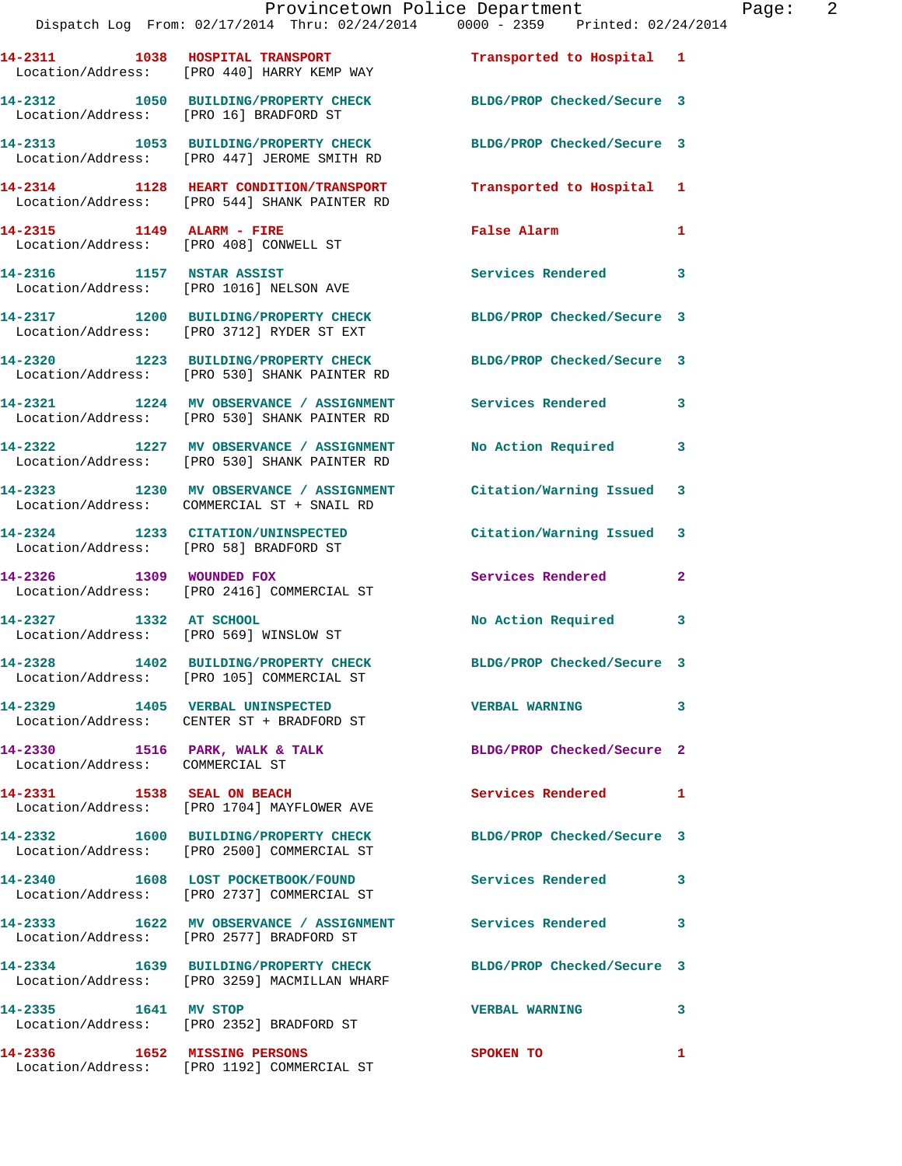|                                 | Provincetown Police Department<br>Dispatch Log From: 02/17/2014 Thru: 02/24/2014 0000 - 2359 Printed: 02/24/2014 |                            |              |
|---------------------------------|------------------------------------------------------------------------------------------------------------------|----------------------------|--------------|
|                                 | 14-2311 1038 HOSPITAL TRANSPORT <b>Transported to Hospital</b> 1<br>Location/Address: [PRO 440] HARRY KEMP WAY   |                            |              |
|                                 | 14-2312 1050 BUILDING/PROPERTY CHECK BLDG/PROP Checked/Secure 3<br>Location/Address: [PRO 16] BRADFORD ST        |                            |              |
|                                 | 14-2313 1053 BUILDING/PROPERTY CHECK BLDG/PROP Checked/Secure 3<br>Location/Address: [PRO 447] JEROME SMITH RD   |                            |              |
|                                 | 14-2314 1128 HEART CONDITION/TRANSPORT<br>Location/Address: [PRO 544] SHANK PAINTER RD                           | Transported to Hospital 1  |              |
| 14-2315 1149 ALARM - FIRE       | Location/Address: [PRO 408] CONWELL ST                                                                           | False Alarm                | 1            |
|                                 | 14-2316 1157 NSTAR ASSIST<br>Location/Address: [PRO 1016] NELSON AVE                                             | Services Rendered          | 3            |
|                                 | 14-2317 1200 BUILDING/PROPERTY CHECK BLDG/PROP Checked/Secure 3<br>Location/Address: [PRO 3712] RYDER ST EXT     |                            |              |
|                                 | 14-2320 1223 BUILDING/PROPERTY CHECK BLDG/PROP Checked/Secure 3<br>Location/Address: [PRO 530] SHANK PAINTER RD  |                            |              |
|                                 | 14-2321 1224 MV OBSERVANCE / ASSIGNMENT Services Rendered<br>Location/Address: [PRO 530] SHANK PAINTER RD        |                            | 3            |
|                                 | 14-2322 1227 MV OBSERVANCE / ASSIGNMENT<br>Location/Address: [PRO 530] SHANK PAINTER RD                          | <b>No Action Required</b>  | 3            |
|                                 | 14-2323 1230 MV OBSERVANCE / ASSIGNMENT Citation/Warning Issued<br>Location/Address: COMMERCIAL ST + SNAIL RD    |                            | 3            |
|                                 | 14-2324 1233 CITATION/UNINSPECTED<br>Location/Address: [PRO 58] BRADFORD ST                                      | Citation/Warning Issued    | 3            |
|                                 | 14-2326 1309 WOUNDED FOX<br>Location/Address: [PRO 2416] COMMERCIAL ST                                           | Services Rendered          | $\mathbf{2}$ |
| 14-2327 1332 AT SCHOOL          | Location/Address: [PRO 569] WINSLOW ST                                                                           | No Action Required         | 3            |
|                                 | 14-2328 1402 BUILDING/PROPERTY CHECK<br>Location/Address: [PRO 105] COMMERCIAL ST                                | BLDG/PROP Checked/Secure 3 |              |
|                                 | 14-2329 1405 VERBAL UNINSPECTED<br>Location/Address: CENTER ST + BRADFORD ST                                     | <b>VERBAL WARNING</b>      | 3            |
| Location/Address: COMMERCIAL ST | 14-2330 1516 PARK, WALK & TALK                                                                                   | BLDG/PROP Checked/Secure 2 |              |
| 14-2331 1538 SEAL ON BEACH      | Location/Address: [PRO 1704] MAYFLOWER AVE                                                                       | Services Rendered          | 1            |
|                                 | 14-2332 1600 BUILDING/PROPERTY CHECK<br>Location/Address: [PRO 2500] COMMERCIAL ST                               | BLDG/PROP Checked/Secure 3 |              |
|                                 | 14-2340 1608 LOST POCKETBOOK/FOUND<br>Location/Address: [PRO 2737] COMMERCIAL ST                                 | Services Rendered          | 3            |
|                                 | 14-2333 1622 MV OBSERVANCE / ASSIGNMENT Services Rendered<br>Location/Address: [PRO 2577] BRADFORD ST            |                            | 3            |
|                                 | 14-2334 1639 BUILDING/PROPERTY CHECK<br>Location/Address: [PRO 3259] MACMILLAN WHARF                             | BLDG/PROP Checked/Secure 3 |              |
| 14-2335 1641 MV STOP            | Location/Address: [PRO 2352] BRADFORD ST                                                                         | <b>VERBAL WARNING</b>      | 3            |

**14-2336 1652 MISSING PERSONS SPOKEN TO 1** Location/Address: [PRO 1192] COMMERCIAL ST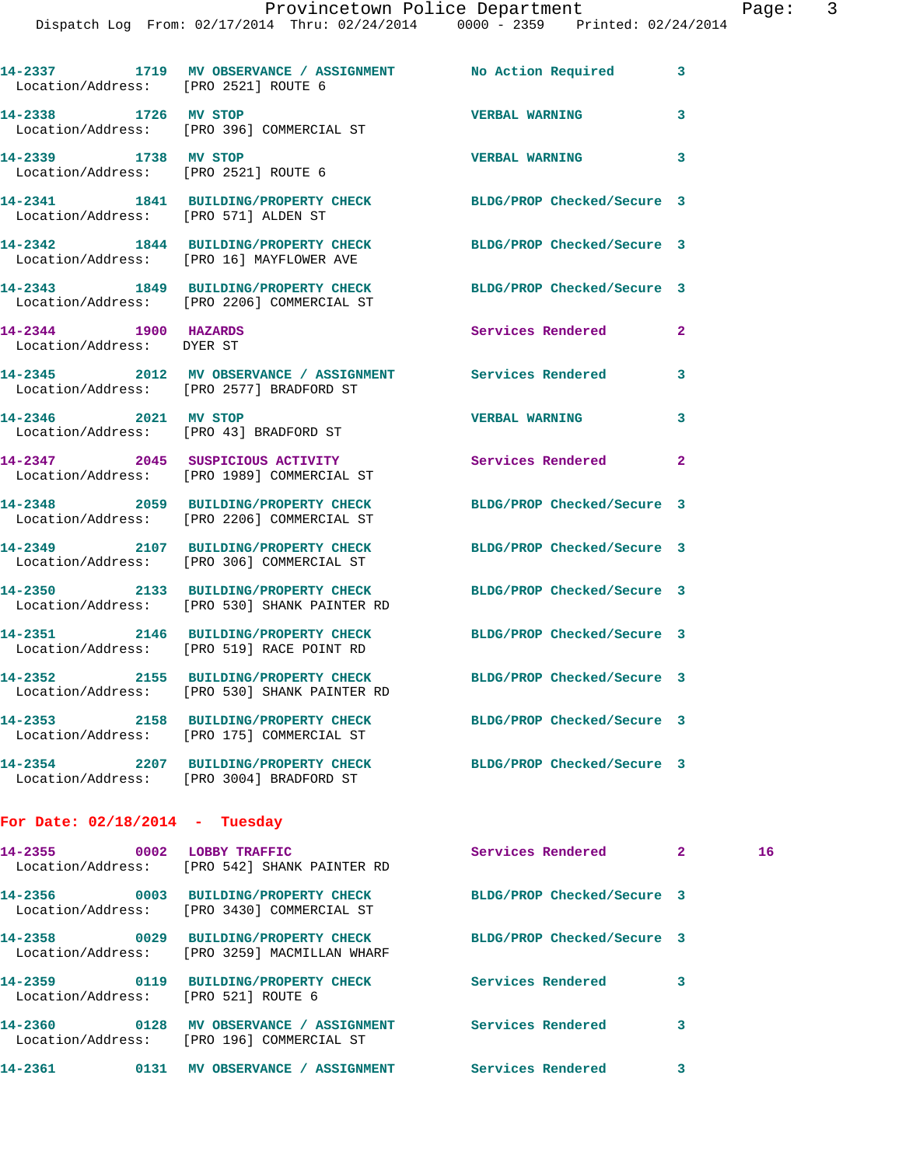| Location/Address: [PRO 2521] ROUTE 6                         | 14-2337 1719 MV OBSERVANCE / ASSIGNMENT No Action Required                           |                            | 3                       |
|--------------------------------------------------------------|--------------------------------------------------------------------------------------|----------------------------|-------------------------|
| 14-2338                                                      | 1726 MV STOP<br>Location/Address: [PRO 396] COMMERCIAL ST                            | <b>VERBAL WARNING</b>      | 3                       |
| 14-2339 1738 MV STOP<br>Location/Address: [PRO 2521] ROUTE 6 |                                                                                      | <b>VERBAL WARNING</b>      | 3                       |
| Location/Address: [PRO 571] ALDEN ST                         | 14-2341 1841 BUILDING/PROPERTY CHECK                                                 | BLDG/PROP Checked/Secure 3 |                         |
|                                                              | 14-2342 1844 BUILDING/PROPERTY CHECK<br>Location/Address: [PRO 16] MAYFLOWER AVE     | BLDG/PROP Checked/Secure 3 |                         |
|                                                              | 14-2343 1849 BUILDING/PROPERTY CHECK<br>Location/Address: [PRO 2206] COMMERCIAL ST   | BLDG/PROP Checked/Secure 3 |                         |
| 14-2344<br>Location/Address: DYER ST                         | 1900 HAZARDS                                                                         | <b>Services Rendered</b>   | $\overline{\mathbf{2}}$ |
|                                                              | Location/Address: [PRO 2577] BRADFORD ST                                             | <b>Services Rendered</b>   | 3                       |
| 14-2346 2021 MV STOP                                         | Location/Address: [PRO 43] BRADFORD ST                                               | <b>VERBAL WARNING</b>      | 3                       |
|                                                              | 14-2347 2045 SUSPICIOUS ACTIVITY<br>Location/Address: [PRO 1989] COMMERCIAL ST       | Services Rendered          | 2                       |
|                                                              | 14-2348 2059 BUILDING/PROPERTY CHECK<br>Location/Address: [PRO 2206] COMMERCIAL ST   | BLDG/PROP Checked/Secure 3 |                         |
|                                                              | 14-2349 2107 BUILDING/PROPERTY CHECK<br>Location/Address: [PRO 306] COMMERCIAL ST    | BLDG/PROP Checked/Secure 3 |                         |
| 14-2350                                                      | 2133 BUILDING/PROPERTY CHECK<br>Location/Address: [PRO 530] SHANK PAINTER RD         | BLDG/PROP Checked/Secure 3 |                         |
|                                                              | 14-2351 2146 BUILDING/PROPERTY CHECK<br>Location/Address: [PRO 519] RACE POINT RD    | BLDG/PROP Checked/Secure 3 |                         |
|                                                              | 14-2352 2155 BUILDING/PROPERTY CHECK<br>Location/Address: [PRO 530] SHANK PAINTER RD | BLDG/PROP Checked/Secure 3 |                         |
|                                                              | 14-2353 2158 BUILDING/PROPERTY CHECK<br>Location/Address: [PRO 175] COMMERCIAL ST    | BLDG/PROP Checked/Secure 3 |                         |
| 14-2354                                                      | 2207 BUILDING/PROPERTY CHECK<br>Location/Address: [PRO 3004] BRADFORD ST             | BLDG/PROP Checked/Secure 3 |                         |
|                                                              |                                                                                      |                            |                         |

## **For Date: 02/18/2014 - Tuesday**

| $14 - 2355$ | 0002 | LOBBY TRAFFIC<br>Location/Address: [PRO 542] SHANK PAINTER RD                  | Services Rendered          | $\overline{2}$ | 16 |
|-------------|------|--------------------------------------------------------------------------------|----------------------------|----------------|----|
| 14-2356     | 0003 | <b>BUILDING/PROPERTY CHECK</b><br>Location/Address: [PRO 3430] COMMERCIAL ST   | BLDG/PROP Checked/Secure 3 |                |    |
| 14-2358     | 0029 | <b>BUILDING/PROPERTY CHECK</b><br>Location/Address: [PRO 3259] MACMILLAN WHARF | BLDG/PROP Checked/Secure 3 |                |    |
| 14-2359     | 0119 | <b>BUILDING/PROPERTY CHECK</b><br>Location/Address: [PRO 521] ROUTE 6          | Services Rendered          | 3              |    |
| 14-2360     | 0128 | MV OBSERVANCE / ASSIGNMENT<br>Location/Address: [PRO 196] COMMERCIAL ST        | Services Rendered          | 3              |    |
| 14-2361     | 0131 | <b>MV OBSERVANCE</b><br><b>ASSIGNMENT</b>                                      | Services Rendered          | 3              |    |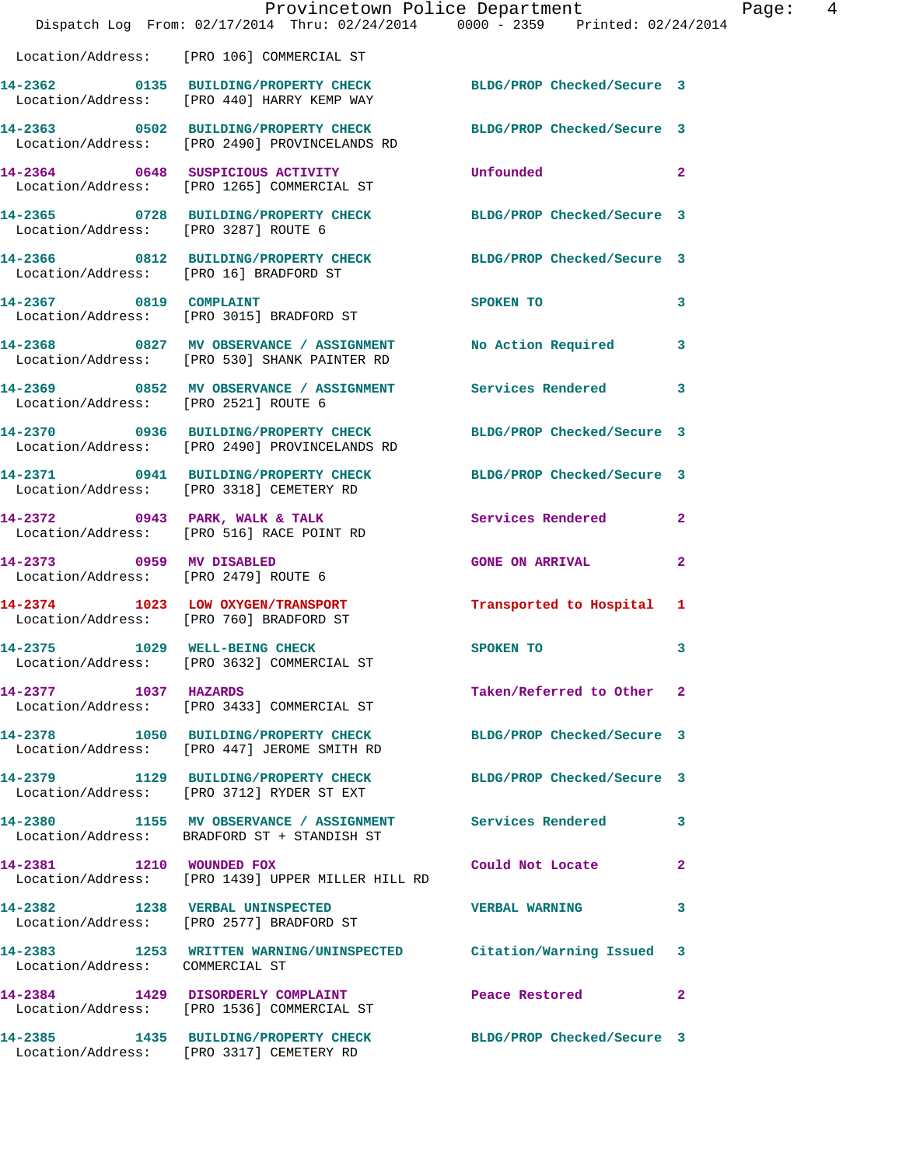|                                                                  | Provincetown Police Department<br>Dispatch Log From: 02/17/2014 Thru: 02/24/2014 0000 - 2359 Printed: 02/24/2014 |                            |                |
|------------------------------------------------------------------|------------------------------------------------------------------------------------------------------------------|----------------------------|----------------|
|                                                                  | Location/Address: [PRO 106] COMMERCIAL ST                                                                        |                            |                |
|                                                                  | 14-2362 0135 BUILDING/PROPERTY CHECK BLDG/PROP Checked/Secure 3<br>Location/Address: [PRO 440] HARRY KEMP WAY    |                            |                |
|                                                                  | 14-2363 0502 BUILDING/PROPERTY CHECK BLDG/PROP Checked/Secure 3<br>Location/Address: [PRO 2490] PROVINCELANDS RD |                            |                |
|                                                                  | 14-2364 0648 SUSPICIOUS ACTIVITY<br>Location/Address: [PRO 1265] COMMERCIAL ST                                   | Unfounded                  | $\mathbf{2}$   |
|                                                                  | 14-2365 0728 BUILDING/PROPERTY CHECK BLDG/PROP Checked/Secure 3<br>Location/Address: [PRO 3287] ROUTE 6          |                            |                |
|                                                                  | 14-2366 0812 BUILDING/PROPERTY CHECK BLDG/PROP Checked/Secure 3<br>Location/Address: [PRO 16] BRADFORD ST        |                            |                |
| 14-2367 0819 COMPLAINT                                           | Location/Address: [PRO 3015] BRADFORD ST                                                                         | SPOKEN TO                  | 3              |
|                                                                  | 14-2368 6827 MV OBSERVANCE / ASSIGNMENT No Action Required<br>Location/Address: [PRO 530] SHANK PAINTER RD       |                            | 3              |
| Location/Address: [PRO 2521] ROUTE 6                             | 14-2369 6852 MV OBSERVANCE / ASSIGNMENT Services Rendered                                                        |                            | 3              |
|                                                                  | 14-2370 0936 BUILDING/PROPERTY CHECK BLDG/PROP Checked/Secure 3<br>Location/Address: [PRO 2490] PROVINCELANDS RD |                            |                |
|                                                                  | 14-2371 0941 BUILDING/PROPERTY CHECK BLDG/PROP Checked/Secure 3<br>Location/Address: [PRO 3318] CEMETERY RD      |                            |                |
|                                                                  | 14-2372 0943 PARK, WALK & TALK<br>Location/Address: [PRO 516] RACE POINT RD                                      | Services Rendered          | $\overline{a}$ |
| 14-2373 0959 MV DISABLED<br>Location/Address: [PRO 2479] ROUTE 6 |                                                                                                                  | <b>GONE ON ARRIVAL</b>     | $\mathbf{2}$   |
|                                                                  | 14-2374 1023 LOW OXYGEN/TRANSPORT<br>Location/Address: [PRO 760] BRADFORD ST                                     | Transported to Hospital    | 1              |
| 14-2375 1029 WELL-BEING CHECK                                    | Location/Address: [PRO 3632] COMMERCIAL ST                                                                       | SPOKEN TO                  | 3              |
|                                                                  | 14-2377 1037 HAZARDS<br>Location/Address: [PRO 3433] COMMERCIAL ST                                               | Taken/Referred to Other    | $\mathbf{2}$   |
|                                                                  | 14-2378 1050 BUILDING/PROPERTY CHECK BLDG/PROP Checked/Secure 3<br>Location/Address: [PRO 447] JEROME SMITH RD   |                            |                |
|                                                                  | 14-2379 1129 BUILDING/PROPERTY CHECK<br>Location/Address: [PRO 3712] RYDER ST EXT                                | BLDG/PROP Checked/Secure 3 |                |
|                                                                  | 14-2380 1155 MV OBSERVANCE / ASSIGNMENT Services Rendered<br>Location/Address: BRADFORD ST + STANDISH ST         |                            | 3              |
| 14-2381 1210 WOUNDED FOX                                         | Location/Address: [PRO 1439] UPPER MILLER HILL RD                                                                | Could Not Locate           | $\mathbf{2}$   |
|                                                                  | 14-2382 1238 VERBAL UNINSPECTED<br>Location/Address: [PRO 2577] BRADFORD ST                                      | <b>VERBAL WARNING</b>      | 3              |
| Location/Address: COMMERCIAL ST                                  | 14-2383 1253 WRITTEN WARNING/UNINSPECTED Citation/Warning Issued                                                 |                            | 3              |
|                                                                  | 14-2384 1429 DISORDERLY COMPLAINT<br>Location/Address: [PRO 1536] COMMERCIAL ST                                  | Peace Restored             | 2              |
|                                                                  | 14-2385 1435 BUILDING/PROPERTY CHECK BLDG/PROP Checked/Secure 3<br>Location/Address: [PRO 3317] CEMETERY RD      |                            |                |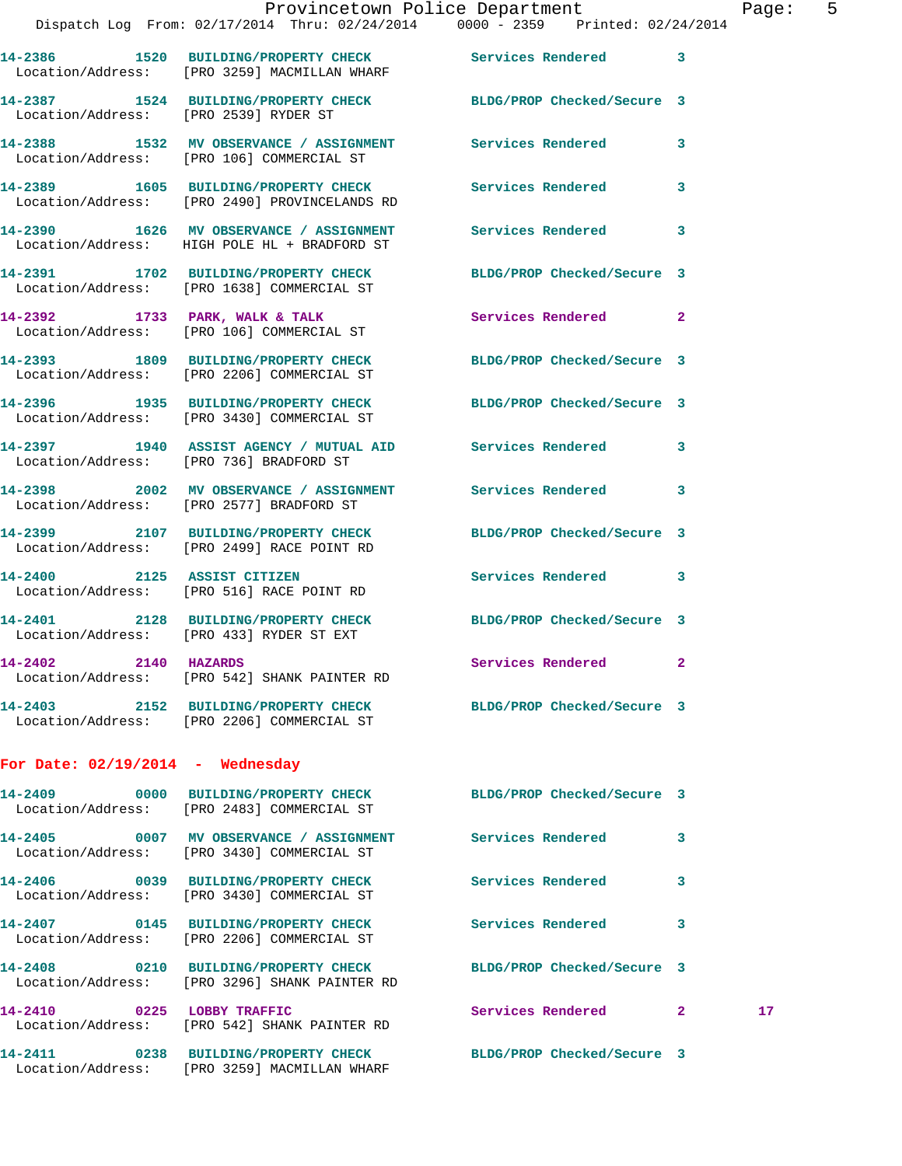|                                       |                                                                                    | Provincetown Police Department                                                                            |   | Page            |
|---------------------------------------|------------------------------------------------------------------------------------|-----------------------------------------------------------------------------------------------------------|---|-----------------|
|                                       |                                                                                    | Dispatch Log From: 02/17/2014 Thru: 02/24/2014 0000 - 2359 Printed: 02/24/2014                            |   |                 |
|                                       | Location/Address: [PRO 3259] MACMILLAN WHARF                                       | 14-2386 1520 BUILDING/PROPERTY CHECK Services Rendered 3                                                  |   |                 |
| Location/Address: [PRO 2539] RYDER ST |                                                                                    | 14-2387 1524 BUILDING/PROPERTY CHECK BLDG/PROP Checked/Secure 3                                           |   |                 |
|                                       |                                                                                    | 14-2388 1532 MV OBSERVANCE / ASSIGNMENT Services Rendered<br>Location/Address: [PRO 106] COMMERCIAL ST    | 3 |                 |
|                                       | Location/Address: [PRO 2490] PROVINCELANDS RD                                      | 14-2389 1605 BUILDING/PROPERTY CHECK Services Rendered 3                                                  |   |                 |
|                                       |                                                                                    | 14-2390 1626 MV OBSERVANCE / ASSIGNMENT Services Rendered<br>Location/Address: HIGH POLE HL + BRADFORD ST | 3 |                 |
|                                       | Location/Address: [PRO 1638] COMMERCIAL ST                                         | 14-2391 1702 BUILDING/PROPERTY CHECK BLDG/PROP Checked/Secure 3                                           |   |                 |
|                                       | 14-2392 1733 PARK, WALK & TALK<br>Location/Address: [PRO 106] COMMERCIAL ST        | Services Rendered 2                                                                                       |   |                 |
|                                       | Location/Address: [PRO 2206] COMMERCIAL ST                                         | 14-2393 1809 BUILDING/PROPERTY CHECK BLDG/PROP Checked/Secure 3                                           |   |                 |
|                                       | Location/Address: [PRO 3430] COMMERCIAL ST                                         | 14-2396 1935 BUILDING/PROPERTY CHECK BLDG/PROP Checked/Secure 3                                           |   |                 |
|                                       | Location/Address: [PRO 736] BRADFORD ST                                            | 14-2397 1940 ASSIST AGENCY / MUTUAL AID Services Rendered                                                 | 3 |                 |
|                                       | Location/Address: [PRO 2577] BRADFORD ST                                           | 14-2398 2002 MV OBSERVANCE / ASSIGNMENT Services Rendered 3                                               |   |                 |
|                                       | Location/Address: [PRO 2499] RACE POINT RD                                         | 14-2399 2107 BUILDING/PROPERTY CHECK BLDG/PROP Checked/Secure 3                                           |   |                 |
| 14-2400 2125 ASSIST CITIZEN           | Location/Address: [PRO 516] RACE POINT RD                                          | Services Rendered 3                                                                                       |   |                 |
|                                       | 14-2401 2128 BUILDING/PROPERTY CHECK<br>Location/Address: [PRO 433] RYDER ST EXT   | BLDG/PROP Checked/Secure 3                                                                                |   |                 |
| 14-2402 2140 HAZARDS                  | Location/Address: [PRO 542] SHANK PAINTER RD                                       | Services Rendered 2                                                                                       |   |                 |
|                                       | Location/Address: [PRO 2206] COMMERCIAL ST                                         | 14-2403 2152 BUILDING/PROPERTY CHECK BLDG/PROP Checked/Secure 3                                           |   |                 |
| For Date: $02/19/2014$ - Wednesday    |                                                                                    |                                                                                                           |   |                 |
|                                       | Location/Address: [PRO 2483] COMMERCIAL ST                                         | 14-2409 0000 BUILDING/PROPERTY CHECK BLDG/PROP Checked/Secure 3                                           |   |                 |
|                                       | Location/Address: [PRO 3430] COMMERCIAL ST                                         | 14-2405 6007 MV OBSERVANCE / ASSIGNMENT Services Rendered                                                 | 3 |                 |
|                                       | 14-2406 0039 BUILDING/PROPERTY CHECK<br>Location/Address: [PRO 3430] COMMERCIAL ST | <b>Services Rendered</b>                                                                                  | 3 |                 |
|                                       | 14-2407 0145 BUILDING/PROPERTY CHECK<br>Location/Address: [PRO 2206] COMMERCIAL ST | Services Rendered                                                                                         | 3 |                 |
|                                       | Location/Address: [PRO 3296] SHANK PAINTER RD                                      | 14-2408 0210 BUILDING/PROPERTY CHECK BLDG/PROP Checked/Secure 3                                           |   |                 |
| <b>14-2410</b>                        | 0225 LOBBY TRAFFIC<br>Location/Address: [PRO 542] SHANK PAINTER RD                 | Services Rendered 2                                                                                       |   | 17 <sub>1</sub> |

Location/Address: [PRO 3259] MACMILLAN WHARF

**14-2411 0238 BUILDING/PROPERTY CHECK BLDG/PROP Checked/Secure 3**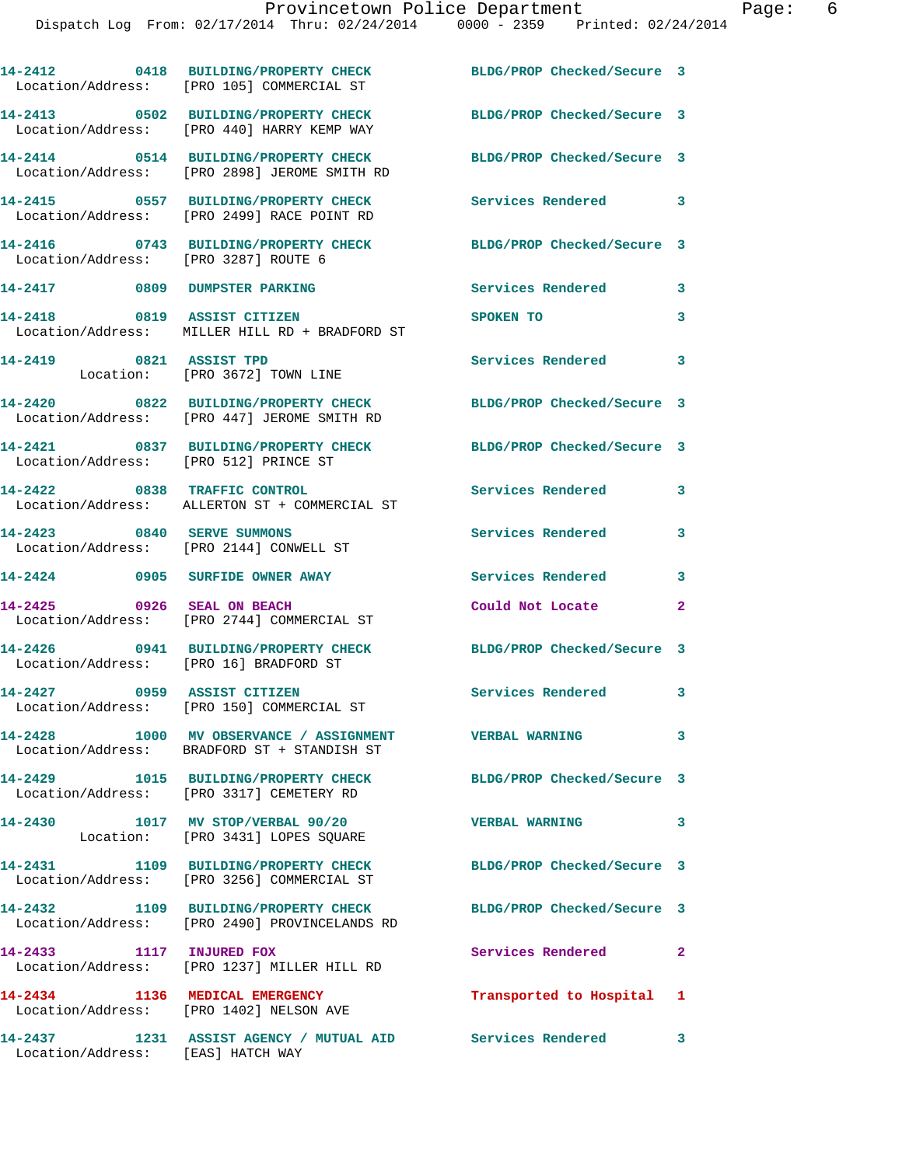|                                        | 14-2412 0418 BUILDING/PROPERTY CHECK<br>Location/Address: [PRO 105] COMMERCIAL ST                     | BLDG/PROP Checked/Secure 3 |                         |
|----------------------------------------|-------------------------------------------------------------------------------------------------------|----------------------------|-------------------------|
|                                        | 14-2413 0502 BUILDING/PROPERTY CHECK<br>Location/Address: [PRO 440] HARRY KEMP WAY                    | BLDG/PROP Checked/Secure 3 |                         |
|                                        | 14-2414 0514 BUILDING/PROPERTY CHECK<br>Location/Address: [PRO 2898] JEROME SMITH RD                  | BLDG/PROP Checked/Secure 3 |                         |
|                                        | 14-2415 0557 BUILDING/PROPERTY CHECK<br>Location/Address: [PRO 2499] RACE POINT RD                    | <b>Services Rendered</b>   | $\overline{\mathbf{3}}$ |
| Location/Address: [PRO 3287] ROUTE 6   | 14-2416 0743 BUILDING/PROPERTY CHECK                                                                  | BLDG/PROP Checked/Secure 3 |                         |
| 14-2417 0809 DUMPSTER PARKING          |                                                                                                       | Services Rendered          | 3                       |
| 14-2418                                | 0819 ASSIST CITIZEN<br>Location/Address: MILLER HILL RD + BRADFORD ST                                 | SPOKEN TO                  | 3                       |
| 14-2419 0821 ASSIST TPD                | Location: [PRO 3672] TOWN LINE                                                                        | Services Rendered          | 3                       |
|                                        | 14-2420 0822 BUILDING/PROPERTY CHECK<br>Location/Address: [PRO 447] JEROME SMITH RD                   | BLDG/PROP Checked/Secure 3 |                         |
| Location/Address: [PRO 512] PRINCE ST  | 14-2421 0837 BUILDING/PROPERTY CHECK                                                                  | BLDG/PROP Checked/Secure 3 |                         |
| 14-2422 0838 TRAFFIC CONTROL           | Location/Address: ALLERTON ST + COMMERCIAL ST                                                         | Services Rendered          | 3                       |
|                                        | 14-2423 0840 SERVE SUMMONS<br>Location/Address: [PRO 2144] CONWELL ST                                 | <b>Services Rendered</b>   | 3                       |
|                                        | 14-2424 0905 SURFIDE OWNER AWAY                                                                       | Services Rendered          | 3                       |
|                                        | 14-2425 0926 SEAL ON BEACH<br>Location/Address: [PRO 2744] COMMERCIAL ST                              | Could Not Locate           | $\mathbf{2}$            |
| Location/Address: [PRO 16] BRADFORD ST | 14-2426 0941 BUILDING/PROPERTY CHECK                                                                  | BLDG/PROP Checked/Secure 3 |                         |
|                                        | 14-2427 0959 ASSIST CITIZEN<br>Location/Address: [PRO 150] COMMERCIAL ST                              | Services Rendered          | 3                       |
|                                        | 14-2428 1000 MV OBSERVANCE / ASSIGNMENT VERBAL WARNING<br>Location/Address: BRADFORD ST + STANDISH ST |                            | 3                       |
|                                        | 14-2429 1015 BUILDING/PROPERTY CHECK<br>Location/Address: [PRO 3317] CEMETERY RD                      | BLDG/PROP Checked/Secure 3 |                         |
| 14-2430                                | 1017 MV STOP/VERBAL 90/20<br>Location: [PRO 3431] LOPES SQUARE                                        | <b>VERBAL WARNING</b>      | 3                       |
|                                        | 14-2431 1109 BUILDING/PROPERTY CHECK<br>Location/Address: [PRO 3256] COMMERCIAL ST                    | BLDG/PROP Checked/Secure 3 |                         |
|                                        | 14-2432 1109 BUILDING/PROPERTY CHECK<br>Location/Address: [PRO 2490] PROVINCELANDS RD                 | BLDG/PROP Checked/Secure 3 |                         |
| 14-2433 1117 INJURED FOX               | Location/Address: [PRO 1237] MILLER HILL RD                                                           | Services Rendered          | $\mathbf{2}$            |
| 14-2434 1136 MEDICAL EMERGENCY         | Location/Address: [PRO 1402] NELSON AVE                                                               | Transported to Hospital 1  |                         |
|                                        | 14-2437 1231 ASSIST AGENCY / MUTUAL AID Services Rendered 3                                           |                            |                         |

Location/Address: [EAS] HATCH WAY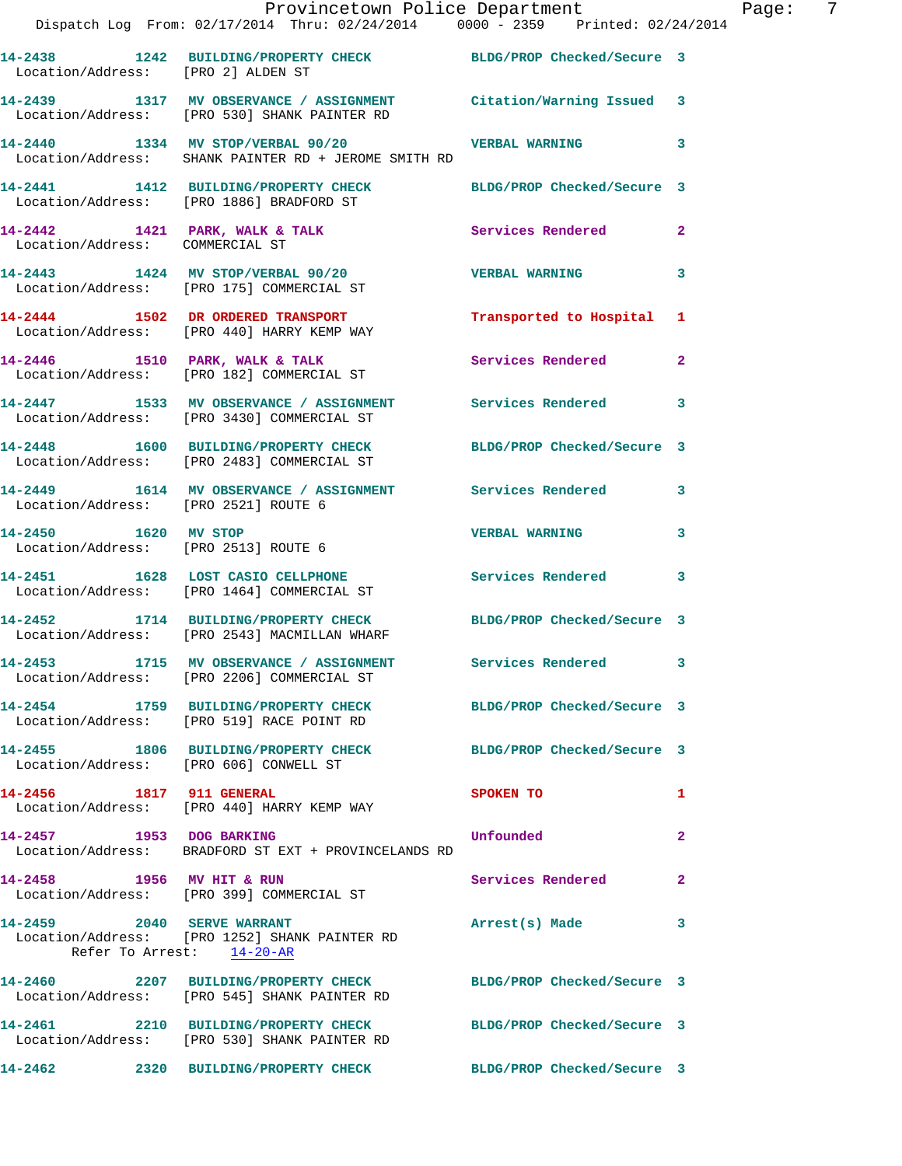|                                                              | Provincetown Police Department<br>Dispatch Log From: 02/17/2014 Thru: 02/24/2014 0000 - 2359 Printed: 02/24/2014  |                            |                |
|--------------------------------------------------------------|-------------------------------------------------------------------------------------------------------------------|----------------------------|----------------|
|                                                              |                                                                                                                   |                            |                |
| Location/Address: [PRO 2] ALDEN ST                           | 14-2438 1242 BUILDING/PROPERTY CHECK BLDG/PROP Checked/Secure 3                                                   |                            |                |
|                                                              | 14-2439 1317 MV OBSERVANCE / ASSIGNMENT Citation/Warning Issued 3<br>Location/Address: [PRO 530] SHANK PAINTER RD |                            |                |
|                                                              | 14-2440 1334 MV STOP/VERBAL 90/20<br>Location/Address: SHANK PAINTER RD + JEROME SMITH RD                         | <b>VERBAL WARNING</b>      | 3              |
|                                                              | 14-2441 1412 BUILDING/PROPERTY CHECK BLDG/PROP Checked/Secure 3<br>Location/Address: [PRO 1886] BRADFORD ST       |                            |                |
| Location/Address: COMMERCIAL ST                              | 14-2442 1421 PARK, WALK & TALK                                                                                    | <b>Services Rendered</b>   | $\mathbf{2}$   |
|                                                              | 14-2443 1424 MV STOP/VERBAL 90/20<br>Location/Address: [PRO 175] COMMERCIAL ST                                    | <b>VERBAL WARNING</b>      | 3              |
|                                                              | 14-2444 1502 DR ORDERED TRANSPORT<br>Location/Address: [PRO 440] HARRY KEMP WAY                                   | Transported to Hospital    | 1              |
|                                                              | $14-2446$ 1510 PARK, WALK & TALK<br>Location/Address: [PRO 182] COMMERCIAL ST                                     | <b>Services Rendered</b>   | $\mathbf{2}$   |
|                                                              | 14-2447 1533 MV OBSERVANCE / ASSIGNMENT Services Rendered<br>Location/Address: [PRO 3430] COMMERCIAL ST           |                            | 3              |
|                                                              | 14-2448 1600 BUILDING/PROPERTY CHECK<br>Location/Address: [PRO 2483] COMMERCIAL ST                                | BLDG/PROP Checked/Secure 3 |                |
| Location/Address: [PRO 2521] ROUTE 6                         | 14-2449 1614 MV OBSERVANCE / ASSIGNMENT Services Rendered                                                         |                            | 3              |
| 14-2450 1620 MV STOP<br>Location/Address: [PRO 2513] ROUTE 6 |                                                                                                                   | <b>VERBAL WARNING</b>      | 3              |
|                                                              | 14-2451 1628 LOST CASIO CELLPHONE<br>Location/Address: [PRO 1464] COMMERCIAL ST                                   | Services Rendered          | 3              |
|                                                              | 14-2452 1714 BUILDING/PROPERTY CHECK BLDG/PROP Checked/Secure 3<br>Location/Address: [PRO 2543] MACMILLAN WHARF   |                            |                |
|                                                              | 14-2453 1715 MV OBSERVANCE / ASSIGNMENT<br>Location/Address: [PRO 2206] COMMERCIAL ST                             | Services Rendered          |                |
|                                                              | 14-2454 1759 BUILDING/PROPERTY CHECK BLDG/PROP Checked/Secure 3<br>Location/Address: [PRO 519] RACE POINT RD      |                            |                |
| Location/Address: [PRO 606] CONWELL ST                       | 14-2455 1806 BUILDING/PROPERTY CHECK                                                                              | BLDG/PROP Checked/Secure 3 |                |
| 14-2456 1817 911 GENERAL                                     | Location/Address: [PRO 440] HARRY KEMP WAY                                                                        | <b>SPOKEN TO</b>           | 1              |
| 14-2457 1953 DOG BARKING                                     | Location/Address: BRADFORD ST EXT + PROVINCELANDS RD                                                              | Unfounded                  | $\overline{a}$ |
|                                                              | 14-2458 1956 MV HIT & RUN<br>Location/Address: [PRO 399] COMMERCIAL ST                                            | Services Rendered          | $\mathbf{2}$   |
| 14-2459 2040 SERVE WARRANT                                   | Location/Address: [PRO 1252] SHANK PAINTER RD<br>Refer To Arrest: 14-20-AR                                        | Arrest(s) Made             | 3              |
|                                                              | 14-2460 2207 BUILDING/PROPERTY CHECK<br>Location/Address: [PRO 545] SHANK PAINTER RD                              | BLDG/PROP Checked/Secure 3 |                |
|                                                              | 14-2461 2210 BUILDING/PROPERTY CHECK<br>Location/Address: [PRO 530] SHANK PAINTER RD                              | BLDG/PROP Checked/Secure 3 |                |
|                                                              | 14-2462 2320 BUILDING/PROPERTY CHECK BLDG/PROP Checked/Secure 3                                                   |                            |                |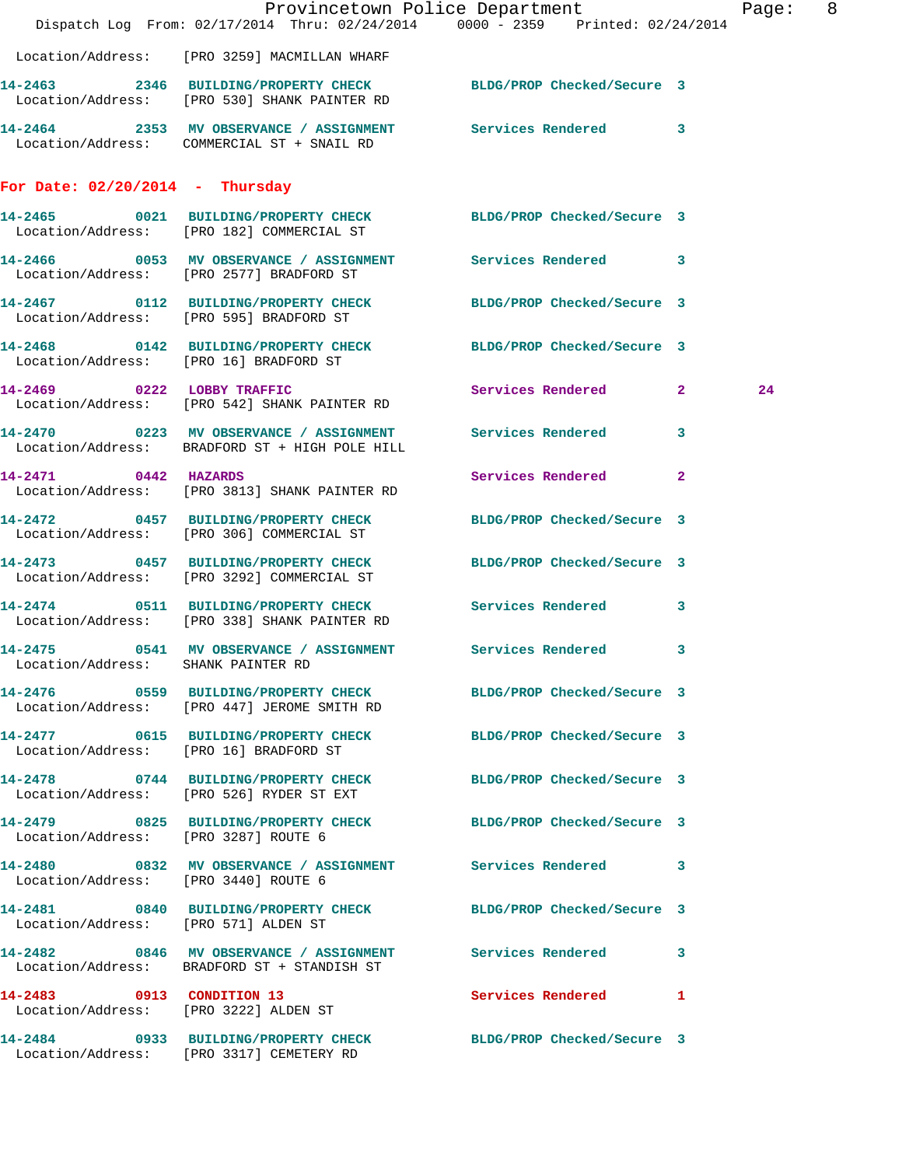|                                               | Dispatch Log From: 02/17/2014 Thru: 02/24/2014 0000 - 2359 Printed: 02/24/2014                                   | Provincetown Police Department | Page: 8 |
|-----------------------------------------------|------------------------------------------------------------------------------------------------------------------|--------------------------------|---------|
|                                               | Location/Address: [PRO 3259] MACMILLAN WHARF                                                                     |                                |         |
|                                               | 14-2463 2346 BUILDING/PROPERTY CHECK BLDG/PROP Checked/Secure 3<br>Location/Address: [PRO 530] SHANK PAINTER RD  |                                |         |
|                                               | 14-2464 2353 MV OBSERVANCE / ASSIGNMENT Services Rendered 3<br>Location/Address: COMMERCIAL ST + SNAIL RD        |                                |         |
| For Date: $02/20/2014$ - Thursday             |                                                                                                                  |                                |         |
|                                               | 14-2465 0021 BUILDING/PROPERTY CHECK BLDG/PROP Checked/Secure 3<br>Location/Address: [PRO 182] COMMERCIAL ST     |                                |         |
|                                               | 14-2466 0053 MV OBSERVANCE / ASSIGNMENT Services Rendered 3<br>Location/Address: [PRO 2577] BRADFORD ST          |                                |         |
|                                               | 14-2467   0112   BUILDING/PROPERTY CHECK   BLDG/PROP Checked/Secure 3<br>Location/Address: [PRO 595] BRADFORD ST |                                |         |
|                                               | 14-2468 0142 BUILDING/PROPERTY CHECK BLDG/PROP Checked/Secure 3<br>Location/Address: [PRO 16] BRADFORD ST        |                                |         |
|                                               | 14-2469 0222 LOBBY TRAFFIC<br>Location/Address: [PRO 542] SHANK PAINTER RD                                       | Services Rendered 2            | 24      |
|                                               | 14-2470 0223 MV OBSERVANCE / ASSIGNMENT Services Rendered 3<br>Location/Address: BRADFORD ST + HIGH POLE HILL    |                                |         |
| 14-2471 0442 HAZARDS                          | Location/Address: [PRO 3813] SHANK PAINTER RD                                                                    | Services Rendered 2            |         |
|                                               | 14-2472 0457 BUILDING/PROPERTY CHECK<br>Location/Address: [PRO 306] COMMERCIAL ST                                | BLDG/PROP Checked/Secure 3     |         |
|                                               | 14-2473 0457 BUILDING/PROPERTY CHECK BLDG/PROP Checked/Secure 3<br>Location/Address: [PRO 3292] COMMERCIAL ST    |                                |         |
|                                               | 14-2474 0511 BUILDING/PROPERTY CHECK Services Rendered 3<br>Location/Address: [PRO 338] SHANK PAINTER RD         |                                |         |
| 14-2475<br>Location/Address: SHANK PAINTER RD | 0541 MV OBSERVANCE / ASSIGNMENT Services Rendered 3                                                              |                                |         |
|                                               | 14-2476 0559 BUILDING/PROPERTY CHECK BLDG/PROP Checked/Secure 3<br>Location/Address: [PRO 447] JEROME SMITH RD   |                                |         |
| Location/Address: [PRO 16] BRADFORD ST        | 14-2477 0615 BUILDING/PROPERTY CHECK BLDG/PROP Checked/Secure 3                                                  |                                |         |
|                                               | 14-2478 0744 BUILDING/PROPERTY CHECK BLDG/PROP Checked/Secure 3<br>Location/Address: [PRO 526] RYDER ST EXT      |                                |         |
| Location/Address: [PRO 3287] ROUTE 6          | 14-2479 0825 BUILDING/PROPERTY CHECK BLDG/PROP Checked/Secure 3                                                  |                                |         |
| Location/Address: [PRO 3440] ROUTE 6          | 14-2480 0832 MV OBSERVANCE / ASSIGNMENT Services Rendered 3                                                      |                                |         |
| Location/Address: [PRO 571] ALDEN ST          | 14-2481 0840 BUILDING/PROPERTY CHECK BLDG/PROP Checked/Secure 3                                                  |                                |         |
|                                               | 14-2482 0846 MV OBSERVANCE / ASSIGNMENT Services Rendered 3<br>Location/Address: BRADFORD ST + STANDISH ST       |                                |         |
|                                               | 14-2483 0913 CONDITION 13<br>Location/Address: [PRO 3222] ALDEN ST                                               | Services Rendered 1            |         |
|                                               | 14-2484 0933 BUILDING/PROPERTY CHECK BLDG/PROP Checked/Secure 3<br>Location/Address: [PRO 3317] CEMETERY RD      |                                |         |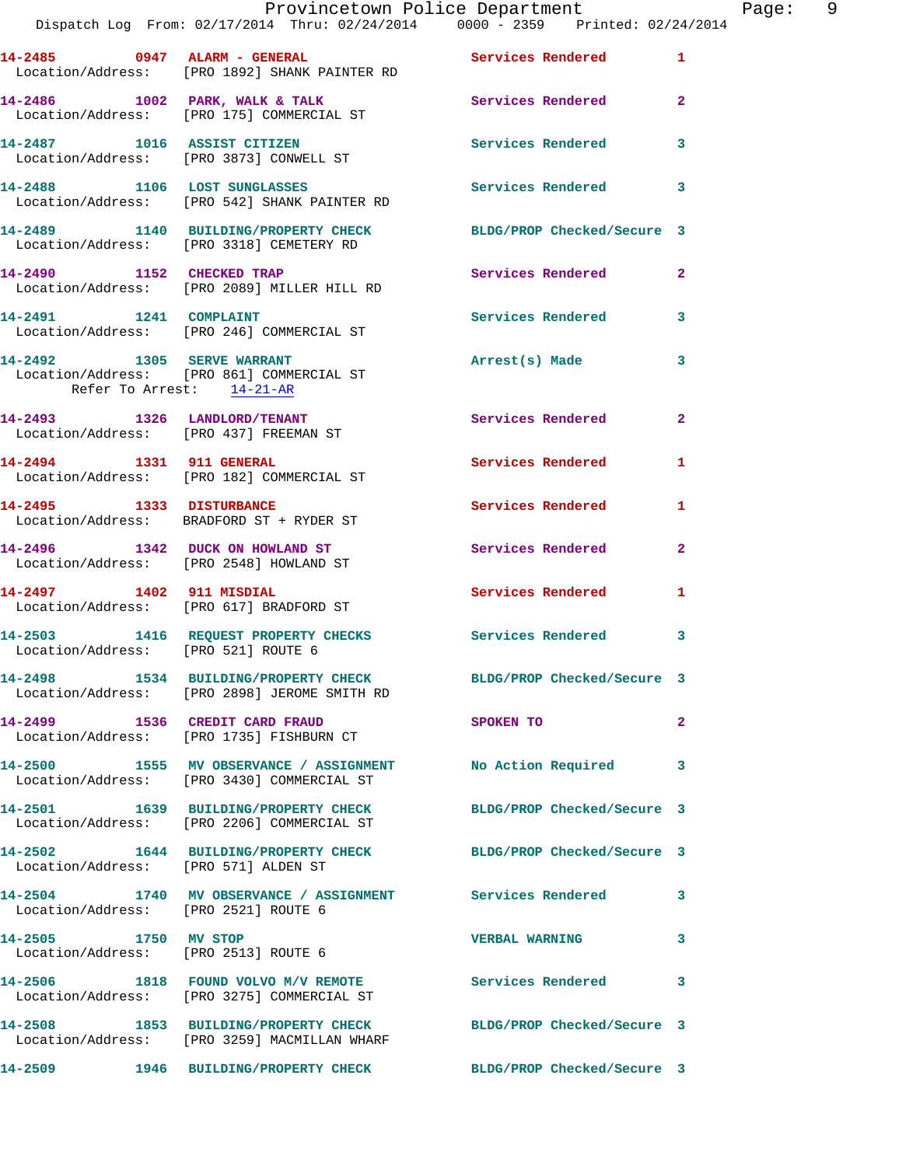|                                      | Dispatch Log From: 02/17/2014 Thru: 02/24/2014 0000 - 2359 Printed: 02/24/2014                                  | Provincetown Police Department | Page: 9        |
|--------------------------------------|-----------------------------------------------------------------------------------------------------------------|--------------------------------|----------------|
|                                      | 14-2485 0947 ALARM - GENERAL CONSERVICES Rendered 1<br>Location/Address: [PRO 1892] SHANK PAINTER RD            |                                |                |
|                                      | 14-2486 1002 PARK, WALK & TALK 1988 Services Rendered 2<br>Location/Address: [PRO 175] COMMERCIAL ST            |                                |                |
|                                      | 14-2487 1016 ASSIST CITIZEN<br>Location/Address: [PRO 3873] CONWELL ST                                          | Services Rendered 3            |                |
|                                      | 14-2488 1106 LOST SUNGLASSES<br>Location/Address: [PRO 542] SHANK PAINTER RD                                    | Services Rendered 3            |                |
|                                      | 14-2489 1140 BUILDING/PROPERTY CHECK BLDG/PROP Checked/Secure 3<br>Location/Address: [PRO 3318] CEMETERY RD     |                                |                |
|                                      | 14-2490 1152 CHECKED TRAP<br>Location/Address: [PRO 2089] MILLER HILL RD                                        | Services Rendered 2            |                |
|                                      | Location/Address: [PRO 246] COMMERCIAL ST                                                                       | Services Rendered 3            |                |
| Refer To Arrest: 14-21-AR            | 14-2492 1305 SERVE WARRANT<br>Location/Address: [PRO 861] COMMERCIAL ST                                         | Arrest(s) Made 3               |                |
|                                      | 14-2493 1326 LANDLORD/TENANT<br>Location/Address: [PRO 437] FREEMAN ST                                          | Services Rendered 2            |                |
|                                      | 14-2494 1331 911 GENERAL<br>Location/Address: [PRO 182] COMMERCIAL ST                                           | Services Rendered 1            |                |
|                                      | 14-2495 1333 DISTURBANCE<br>Location/Address: BRADFORD ST + RYDER ST                                            | Services Rendered 1            |                |
|                                      | 14-2496 1342 DUCK ON HOWLAND ST<br>Location/Address: [PRO 2548] HOWLAND ST                                      | Services Rendered              | $\overline{2}$ |
|                                      | 14-2497 1402 911 MISDIAL<br>Location/Address: [PRO 617] BRADFORD ST                                             | <b>Services Rendered</b>       | 1              |
| Location/Address: [PRO 521] ROUTE 6  | 14-2503 1416 REQUEST PROPERTY CHECKS Services Rendered 3                                                        |                                |                |
|                                      | 14-2498 1534 BUILDING/PROPERTY CHECK BLDG/PROP Checked/Secure 3<br>Location/Address: [PRO 2898] JEROME SMITH RD |                                |                |
|                                      | 14-2499 1536 CREDIT CARD FRAUD<br>Location/Address: [PRO 1735] FISHBURN CT                                      | SPOKEN TO                      | $\mathbf{2}$   |
|                                      | 14-2500 1555 MV OBSERVANCE / ASSIGNMENT No Action Required 3<br>Location/Address: [PRO 3430] COMMERCIAL ST      |                                |                |
|                                      | 14-2501 1639 BUILDING/PROPERTY CHECK<br>Location/Address: [PRO 2206] COMMERCIAL ST                              | BLDG/PROP Checked/Secure 3     |                |
| Location/Address: [PRO 571] ALDEN ST | 14-2502 1644 BUILDING/PROPERTY CHECK BLDG/PROP Checked/Secure 3                                                 |                                |                |
| Location/Address: [PRO 2521] ROUTE 6 | 14-2504 1740 MV OBSERVANCE / ASSIGNMENT Services Rendered 3                                                     |                                |                |
| 14-2505 1750 MV STOP                 | Location/Address: [PRO 2513] ROUTE 6                                                                            | <b>VERBAL WARNING</b>          | 3              |
|                                      | 14-2506 1818 FOUND VOLVO M/V REMOTE Services Rendered 3<br>Location/Address: [PRO 3275] COMMERCIAL ST           |                                |                |
|                                      | 14-2508 1853 BUILDING/PROPERTY CHECK BLDG/PROP Checked/Secure 3<br>Location/Address: [PRO 3259] MACMILLAN WHARF |                                |                |
|                                      | 14-2509 1946 BUILDING/PROPERTY CHECK BLDG/PROP Checked/Secure 3                                                 |                                |                |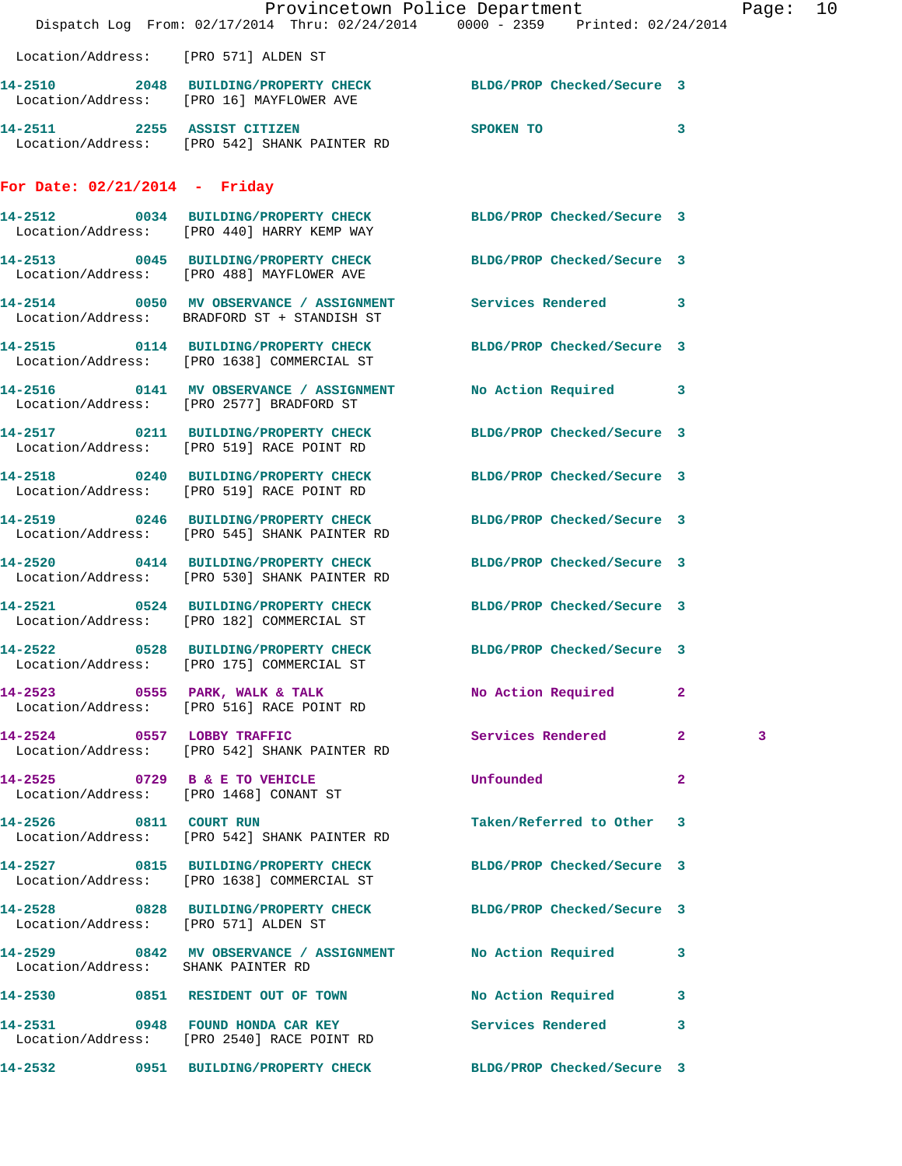|                                      | Provincetown Police Department Page: 10<br>Dispatch Log From: 02/17/2014 Thru: 02/24/2014 0000 - 2359 Printed: 02/24/2014 |                            |              |   |  |
|--------------------------------------|---------------------------------------------------------------------------------------------------------------------------|----------------------------|--------------|---|--|
| Location/Address: [PRO 571] ALDEN ST |                                                                                                                           |                            |              |   |  |
|                                      | 14-2510 2048 BUILDING/PROPERTY CHECK BLDG/PROP Checked/Secure 3<br>Location/Address: [PRO 16] MAYFLOWER AVE               |                            |              |   |  |
|                                      | 14-2511 2255 ASSIST CITIZEN SPOKEN TO<br>Location/Address: [PRO 542] SHANK PAINTER RD                                     |                            | $\mathbf{3}$ |   |  |
| For Date: $02/21/2014$ - Friday      |                                                                                                                           |                            |              |   |  |
|                                      | 14-2512 0034 BUILDING/PROPERTY CHECK BLDG/PROP Checked/Secure 3<br>Location/Address: [PRO 440] HARRY KEMP WAY             |                            |              |   |  |
|                                      | 14-2513 0045 BUILDING/PROPERTY CHECK BLDG/PROP Checked/Secure 3<br>Location/Address: [PRO 488] MAYFLOWER AVE              |                            |              |   |  |
|                                      | 14-2514 0050 MV OBSERVANCE / ASSIGNMENT Services Rendered 3<br>Location/Address: BRADFORD ST + STANDISH ST                |                            |              |   |  |
|                                      | 14-2515 0114 BUILDING/PROPERTY CHECK BLDG/PROP Checked/Secure 3<br>Location/Address: [PRO 1638] COMMERCIAL ST             |                            |              |   |  |
|                                      | 14-2516 0141 MV OBSERVANCE / ASSIGNMENT No Action Required 3<br>Location/Address: [PRO 2577] BRADFORD ST                  |                            |              |   |  |
|                                      | 14-2517 0211 BUILDING/PROPERTY CHECK BLDG/PROP Checked/Secure 3<br>Location/Address: [PRO 519] RACE POINT RD              |                            |              |   |  |
|                                      | 14-2518 0240 BUILDING/PROPERTY CHECK BLDG/PROP Checked/Secure 3<br>Location/Address: [PRO 519] RACE POINT RD              |                            |              |   |  |
|                                      | 14-2519 0246 BUILDING/PROPERTY CHECK BLDG/PROP Checked/Secure 3<br>Location/Address: [PRO 545] SHANK PAINTER RD           |                            |              |   |  |
|                                      | 14-2520 0414 BUILDING/PROPERTY CHECK<br>Location/Address: [PRO 530] SHANK PAINTER RD                                      | BLDG/PROP Checked/Secure 3 |              |   |  |
|                                      | 14-2521 0524 BUILDING/PROPERTY CHECK BLDG/PROP Checked/Secure 3<br>Location/Address: [PRO 182] COMMERCIAL ST              |                            |              |   |  |
| 14-2522                              | 0528 BUILDING/PROPERTY CHECK BLDG/PROP Checked/Secure 3<br>Location/Address: [PRO 175] COMMERCIAL ST                      |                            |              |   |  |
|                                      | 14-2523 0555 PARK, WALK & TALK<br>Location/Address: [PRO 516] RACE POINT RD                                               | No Action Required         | $\mathbf{2}$ |   |  |
|                                      | 14-2524 0557 LOBBY TRAFFIC<br>Location/Address: [PRO 542] SHANK PAINTER RD                                                | Services Rendered 2        |              | 3 |  |
| 14-2525 0729 B & E TO VEHICLE        | Location/Address: [PRO 1468] CONANT ST                                                                                    | Unfounded                  | $\mathbf{2}$ |   |  |
|                                      | 14-2526 0811 COURT RUN<br>Location/Address: [PRO 542] SHANK PAINTER RD                                                    | Taken/Referred to Other 3  |              |   |  |
|                                      | 14-2527 0815 BUILDING/PROPERTY CHECK BLDG/PROP Checked/Secure 3<br>Location/Address: [PRO 1638] COMMERCIAL ST             |                            |              |   |  |
| Location/Address: [PRO 571] ALDEN ST | 14-2528 0828 BUILDING/PROPERTY CHECK BLDG/PROP Checked/Secure 3                                                           |                            |              |   |  |
| Location/Address: SHANK PAINTER RD   | 14-2529 0842 MV OBSERVANCE / ASSIGNMENT No Action Required 3                                                              |                            |              |   |  |
|                                      | 14-2530 0851 RESIDENT OUT OF TOWN                                                                                         | No Action Required 3       |              |   |  |
| 14-2531                              | 0948 FOUND HONDA CAR KEY Services Rendered 3<br>Location/Address: [PRO 2540] RACE POINT RD                                |                            |              |   |  |
|                                      | 14-2532 0951 BUILDING/PROPERTY CHECK BLDG/PROP Checked/Secure 3                                                           |                            |              |   |  |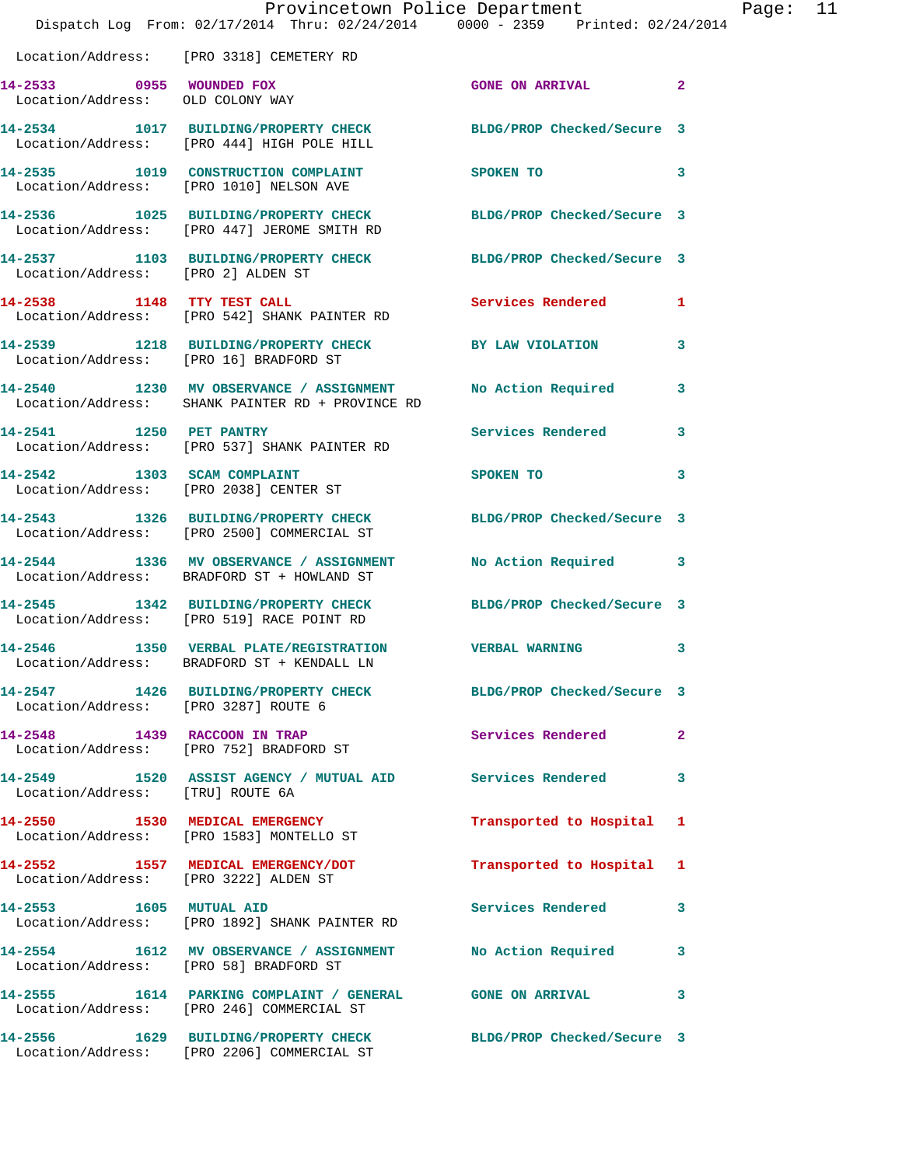|                                                              | Provincetown Police Department The Page: 11<br>Dispatch Log From: 02/17/2014 Thru: 02/24/2014 0000 - 2359 Printed: 02/24/2014 |                                                                                                                                                                                                                                |              |
|--------------------------------------------------------------|-------------------------------------------------------------------------------------------------------------------------------|--------------------------------------------------------------------------------------------------------------------------------------------------------------------------------------------------------------------------------|--------------|
|                                                              | Location/Address: [PRO 3318] CEMETERY RD                                                                                      |                                                                                                                                                                                                                                |              |
| 14-2533 0955 WOUNDED FOX<br>Location/Address: OLD COLONY WAY |                                                                                                                               | <b>GONE ON ARRIVAL 2</b>                                                                                                                                                                                                       |              |
|                                                              | 14-2534 1017 BUILDING/PROPERTY CHECK BLDG/PROP Checked/Secure 3<br>Location/Address: [PRO 444] HIGH POLE HILL                 |                                                                                                                                                                                                                                |              |
|                                                              | 14-2535 1019 CONSTRUCTION COMPLAINT SPOKEN TO<br>Location/Address: [PRO 1010] NELSON AVE                                      |                                                                                                                                                                                                                                | 3            |
|                                                              | 14-2536 1025 BUILDING/PROPERTY CHECK BLDG/PROP Checked/Secure 3<br>Location/Address: [PRO 447] JEROME SMITH RD                |                                                                                                                                                                                                                                |              |
| Location/Address: [PRO 2] ALDEN ST                           | 14-2537 1103 BUILDING/PROPERTY CHECK BLDG/PROP Checked/Secure 3                                                               |                                                                                                                                                                                                                                |              |
|                                                              | 14-2538 1148 TTY TEST CALL<br>Location/Address: [PRO 542] SHANK PAINTER RD                                                    | Services Rendered 1                                                                                                                                                                                                            |              |
|                                                              | 14-2539 1218 BUILDING/PROPERTY CHECK BY LAW VIOLATION 3<br>Location/Address: [PRO 16] BRADFORD ST                             |                                                                                                                                                                                                                                |              |
|                                                              | 14-2540 1230 MV OBSERVANCE / ASSIGNMENT No Action Required 3<br>Location/Address: SHANK PAINTER RD + PROVINCE RD              |                                                                                                                                                                                                                                |              |
| 14-2541 1250 PET PANTRY                                      | Location/Address: [PRO 537] SHANK PAINTER RD                                                                                  | Services Rendered 3                                                                                                                                                                                                            |              |
|                                                              | 14-2542 1303 SCAM COMPLAINT<br>Location/Address: [PRO 2038] CENTER ST                                                         | SPOKEN TO THE SPOKEN OF THE SPOKEN OF THE SPOKEN OF THE SPOKEN OF THE SPOKEN OF THE SPOKEN OF THE SPOKEN OF THE SPOKEN OF THE SPOKEN OF THE SPOKEN OF THE SPOKEN OF THE SPOKEN OF THE SPOKEN OF THE SPOKEN OF THE SPOKEN OF TH | 3            |
|                                                              | 14-2543 1326 BUILDING/PROPERTY CHECK BLDG/PROP Checked/Secure 3<br>Location/Address: [PRO 2500] COMMERCIAL ST                 |                                                                                                                                                                                                                                |              |
|                                                              | 14-2544 1336 MV OBSERVANCE / ASSIGNMENT<br>Location/Address: BRADFORD ST + HOWLAND ST                                         | No Action Required 3                                                                                                                                                                                                           |              |
|                                                              | 14-2545 1342 BUILDING/PROPERTY CHECK BLDG/PROP Checked/Secure 3<br>Location/Address: [PRO 519] RACE POINT RD                  |                                                                                                                                                                                                                                |              |
|                                                              | 14-2546 1350 VERBAL PLATE/REGISTRATION VERBAL WARNING<br>Location/Address: BRADFORD ST + KENDALL LN                           |                                                                                                                                                                                                                                | 3            |
| Location/Address: [PRO 3287] ROUTE 6                         | 14-2547 1426 BUILDING/PROPERTY CHECK BLDG/PROP Checked/Secure 3                                                               |                                                                                                                                                                                                                                |              |
|                                                              | 14-2548 1439 RACCOON IN TRAP<br>Location/Address: [PRO 752] BRADFORD ST                                                       | Services Rendered                                                                                                                                                                                                              | $\mathbf{2}$ |
| Location/Address: [TRU] ROUTE 6A                             | 14-2549 1520 ASSIST AGENCY / MUTUAL AID Services Rendered 3                                                                   |                                                                                                                                                                                                                                |              |
|                                                              | 14-2550 1530 MEDICAL EMERGENCY<br>Location/Address: [PRO 1583] MONTELLO ST                                                    | Transported to Hospital 1                                                                                                                                                                                                      |              |
| Location/Address: [PRO 3222] ALDEN ST                        | 14-2552 1557 MEDICAL EMERGENCY/DOT Transported to Hospital 1                                                                  |                                                                                                                                                                                                                                |              |
|                                                              | 14-2553 1605 MUTUAL AID<br>Location/Address: [PRO 1892] SHANK PAINTER RD                                                      | Services Rendered                                                                                                                                                                                                              | 3            |
|                                                              | 14-2554 1612 MV OBSERVANCE / ASSIGNMENT NO Action Required 3<br>Location/Address: [PRO 58] BRADFORD ST                        |                                                                                                                                                                                                                                |              |
|                                                              | 14-2555 1614 PARKING COMPLAINT / GENERAL GONE ON ARRIVAL 3<br>Location/Address: [PRO 246] COMMERCIAL ST                       |                                                                                                                                                                                                                                |              |
|                                                              | 14-2556 1629 BUILDING/PROPERTY CHECK BLDG/PROP Checked/Secure 3<br>Location/Address: [PRO 2206] COMMERCIAL ST                 |                                                                                                                                                                                                                                |              |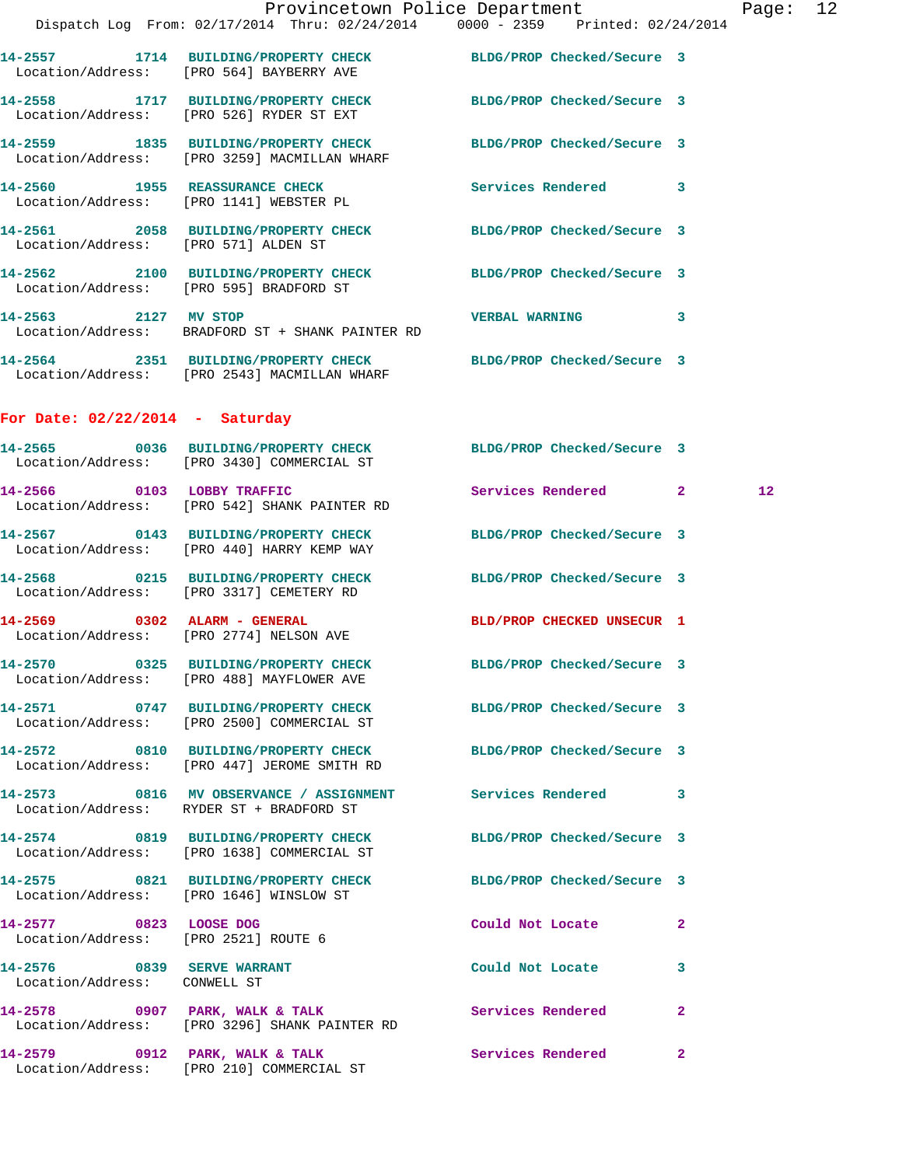|                                   |                                                                                                                 | Provincetown Police Department |  |   | Page |
|-----------------------------------|-----------------------------------------------------------------------------------------------------------------|--------------------------------|--|---|------|
|                                   | Dispatch Log From: 02/17/2014 Thru: 02/24/2014 0000 - 2359 Printed: 02/24/2014                                  |                                |  |   |      |
|                                   | 14-2557 1714 BUILDING/PROPERTY CHECK BLDG/PROP Checked/Secure 3<br>Location/Address: [PRO 564] BAYBERRY AVE     |                                |  |   |      |
|                                   | 14-2558 1717 BUILDING/PROPERTY CHECK BLDG/PROP Checked/Secure 3<br>Location/Address: [PRO 526] RYDER ST EXT     |                                |  |   |      |
|                                   | 14-2559 1835 BUILDING/PROPERTY CHECK BLDG/PROP Checked/Secure 3<br>Location/Address: [PRO 3259] MACMILLAN WHARF |                                |  |   |      |
|                                   | 14-2560 1955 REASSURANCE CHECK Services Rendered 3<br>Location/Address: [PRO 1141] WEBSTER PL                   |                                |  |   |      |
|                                   | 14-2561 2058 BUILDING/PROPERTY CHECK BLDG/PROP Checked/Secure 3<br>Location/Address: [PRO 571] ALDEN ST         |                                |  |   |      |
|                                   | 14-2562 2100 BUILDING/PROPERTY CHECK BLDG/PROP Checked/Secure 3<br>Location/Address: [PRO 595] BRADFORD ST      |                                |  |   |      |
|                                   | 14-2563 2127 MV STOP 2008 2009 2009 2127 MW STOP<br>Location/Address: BRADFORD ST + SHANK PAINTER RD            |                                |  | 3 |      |
|                                   | 14-2564 2351 BUILDING/PROPERTY CHECK BLDG/PROP Checked/Secure 3<br>Location/Address: [PRO 2543] MACMILLAN WHARF |                                |  |   |      |
| For Date: $02/22/2014$ - Saturday |                                                                                                                 |                                |  |   |      |
|                                   | 14-2565 0036 BUILDING/PROPERTY CHECK BLDG/PROP Checked/Secure 3<br>Location/Address: [PRO 3430] COMMERCIAL ST   |                                |  |   |      |
| 14-2566 0103 LOBBY TRAFFIC        |                                                                                                                 | Services Rendered 2            |  |   | 12   |

 Location/Address: [PRO 542] SHANK PAINTER RD **14-2567 0143 BUILDING/PROPERTY CHECK BLDG/PROP Checked/Secure 3**  Location/Address: [PRO 440] HARRY KEMP WAY

**14-2568 0215 BUILDING/PROPERTY CHECK BLDG/PROP Checked/Secure 3**  Location/Address: [PRO 3317] CEMETERY RD

**14-2569 0302 ALARM - GENERAL BLD/PROP CHECKED UNSECUR 1**  Location/Address: [PRO 2774] NELSON AVE

**14-2570 0325 BUILDING/PROPERTY CHECK BLDG/PROP Checked/Secure 3**  Location/Address: [PRO 488] MAYFLOWER AVE

**14-2571 0747 BUILDING/PROPERTY CHECK BLDG/PROP Checked/Secure 3**  Location/Address: [PRO 2500] COMMERCIAL ST

**14-2572 0810 BUILDING/PROPERTY CHECK BLDG/PROP Checked/Secure 3**  Location/Address: [PRO 447] JEROME SMITH RD

**14-2573 0816 MV OBSERVANCE / ASSIGNMENT Services Rendered 3**  Location/Address: RYDER ST + BRADFORD ST

**14-2574 0819 BUILDING/PROPERTY CHECK BLDG/PROP Checked/Secure 3**  Location/Address: [PRO 1638] COMMERCIAL ST

**14-2575 0821 BUILDING/PROPERTY CHECK BLDG/PROP Checked/Secure 3**  Location/Address: [PRO 1646] WINSLOW ST

**14-2577 0823 LOOSE DOG Could Not Locate 2**  Location/Address: [PRO 2521] ROUTE 6

Location/Address: CONWELL ST

**14-2576 0839 SERVE WARRANT Could Not Locate 3** 

14-2578 0907 PARK, WALK & TALK **Services Rendered** 2 Location/Address: [PRO 3296] SHANK PAINTER RD

**14-2579 0912 PARK, WALK & TALK Services Rendered 2**  Location/Address: [PRO 210] COMMERCIAL ST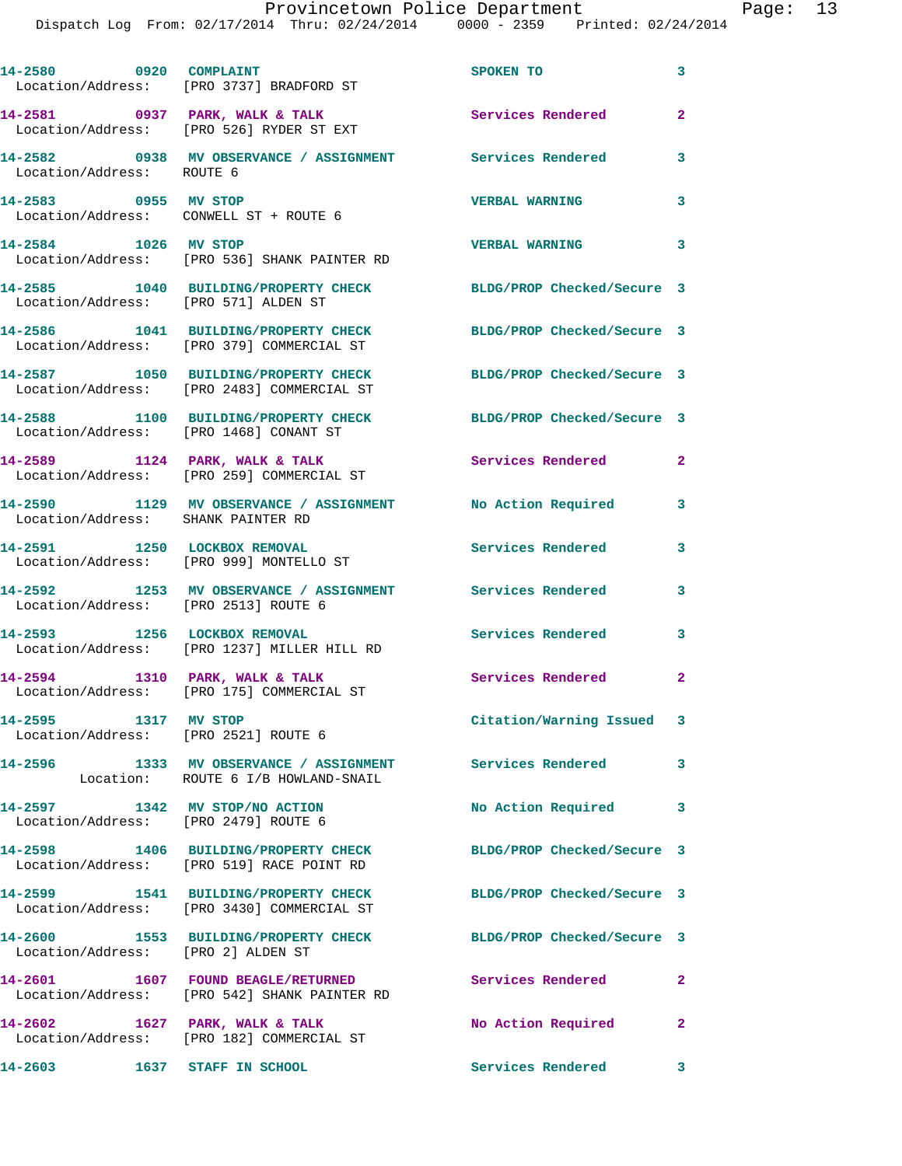| 14-2580 0920 COMPLAINT                                                 | Location/Address: [PRO 3737] BRADFORD ST                                                             | SPOKEN TO                                           | 3              |
|------------------------------------------------------------------------|------------------------------------------------------------------------------------------------------|-----------------------------------------------------|----------------|
|                                                                        | 14-2581 0937 PARK, WALK & TALK<br>Location/Address: [PRO 526] RYDER ST EXT                           | Services Rendered                                   | $\mathbf{2}$   |
| Location/Address: ROUTE 6                                              | 14-2582 0938 MV OBSERVANCE / ASSIGNMENT Services Rendered                                            |                                                     | 3              |
| 14-2583 0955 MV STOP                                                   | Location/Address: CONWELL ST + ROUTE 6                                                               | <b>VERBAL WARNING</b>                               | 3              |
| 14-2584 1026 MV STOP                                                   | Location/Address: [PRO 536] SHANK PAINTER RD                                                         | <b>VERBAL WARNING</b><br>$\overline{\phantom{a}}$ 3 |                |
| Location/Address: [PRO 571] ALDEN ST                                   | 14-2585 1040 BUILDING/PROPERTY CHECK                                                                 | BLDG/PROP Checked/Secure 3                          |                |
|                                                                        | 14-2586 1041 BUILDING/PROPERTY CHECK<br>Location/Address: [PRO 379] COMMERCIAL ST                    | BLDG/PROP Checked/Secure 3                          |                |
|                                                                        | 14-2587 1050 BUILDING/PROPERTY CHECK<br>Location/Address: [PRO 2483] COMMERCIAL ST                   | BLDG/PROP Checked/Secure 3                          |                |
| Location/Address: [PRO 1468] CONANT ST                                 | 14-2588 1100 BUILDING/PROPERTY CHECK                                                                 | BLDG/PROP Checked/Secure 3                          |                |
|                                                                        | 14-2589 1124 PARK, WALK & TALK<br>Location/Address: [PRO 259] COMMERCIAL ST                          | Services Rendered                                   | $\overline{2}$ |
| Location/Address: SHANK PAINTER RD                                     | 14-2590 1129 MV OBSERVANCE / ASSIGNMENT No Action Required                                           |                                                     | 3              |
|                                                                        | 14-2591 1250 LOCKBOX REMOVAL<br>Location/Address: [PRO 999] MONTELLO ST                              | Services Rendered                                   | 3              |
| Location/Address: [PRO 2513] ROUTE 6                                   | 14-2592 1253 MV OBSERVANCE / ASSIGNMENT Services Rendered                                            |                                                     | 3              |
| 14-2593 1256 LOCKBOX REMOVAL                                           | Location/Address: [PRO 1237] MILLER HILL RD                                                          | Services Rendered 3                                 |                |
|                                                                        | 14-2594 1310 PARK, WALK & TALK<br>Location/Address: [PRO 175] COMMERCIAL ST                          | Services Rendered                                   | $\mathbf{2}$   |
| 14-2595 1317 MV STOP<br>Location/Address: [PRO 2521] ROUTE 6           |                                                                                                      | Citation/Warning Issued 3                           |                |
|                                                                        | 14-2596 1333 MV OBSERVANCE / ASSIGNMENT Services Rendered<br>Location: ROUTE 6 I/B HOWLAND-SNAIL     |                                                     | 3              |
| 14-2597 1342 MV STOP/NO ACTION<br>Location/Address: [PRO 2479] ROUTE 6 |                                                                                                      | No Action Required                                  | 3              |
|                                                                        | 14-2598 1406 BUILDING/PROPERTY CHECK<br>Location/Address: [PRO 519] RACE POINT RD                    | BLDG/PROP Checked/Secure 3                          |                |
|                                                                        | 14-2599 1541 BUILDING/PROPERTY CHECK<br>Location/Address: [PRO 3430] COMMERCIAL ST                   | BLDG/PROP Checked/Secure 3                          |                |
| Location/Address: [PRO 2] ALDEN ST                                     | 14-2600 1553 BUILDING/PROPERTY CHECK                                                                 | BLDG/PROP Checked/Secure 3                          |                |
|                                                                        | 14-2601 1607 FOUND BEAGLE/RETURNED Services Rendered<br>Location/Address: [PRO 542] SHANK PAINTER RD |                                                     | $\mathbf{2}$   |
|                                                                        | 14-2602 1627 PARK, WALK & TALK<br>Location/Address: [PRO 182] COMMERCIAL ST                          | No Action Required                                  | $\mathbf{2}$   |
| $14-2603$ $1637$ STAFF IN SCHOOL                                       |                                                                                                      | Services Rendered 3                                 |                |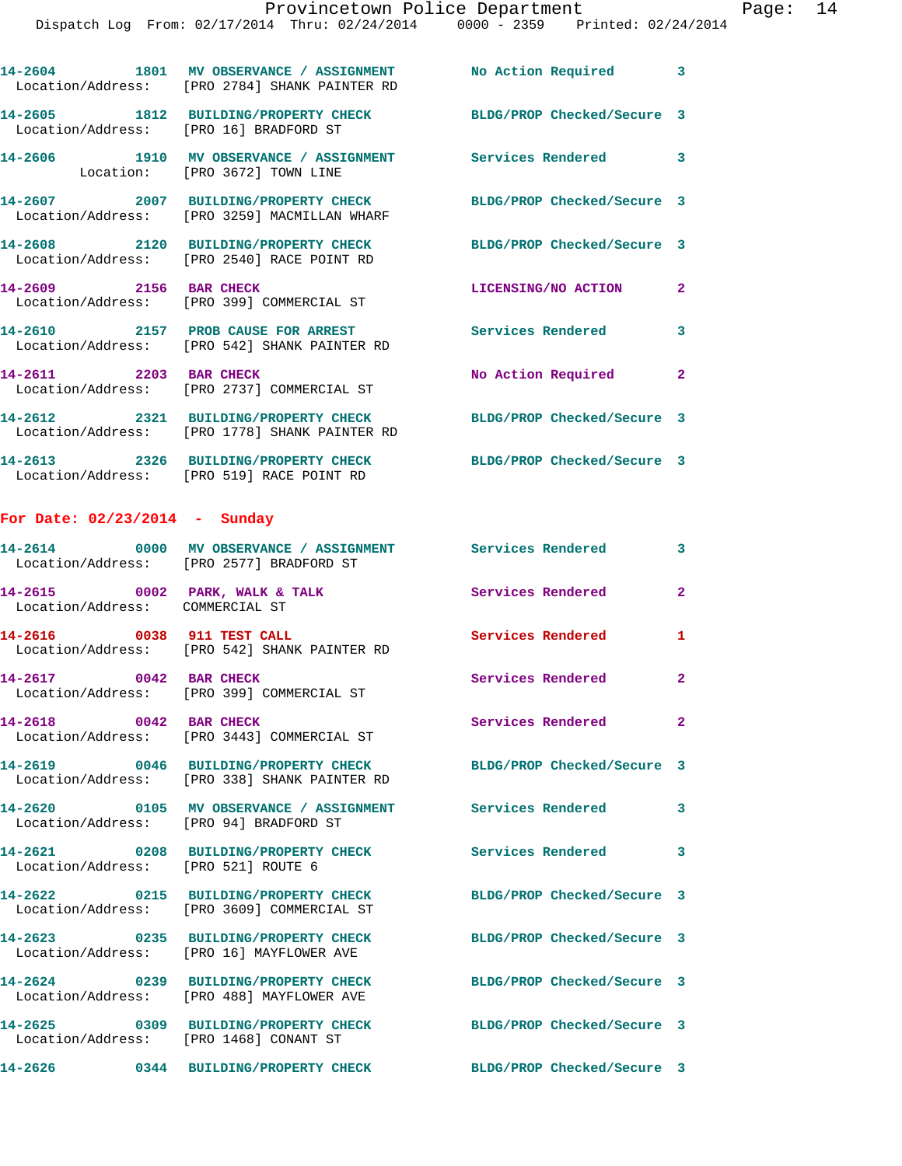|                                        | 14-2604 1801 MV OBSERVANCE / ASSIGNMENT No Action Required 3<br>Location/Address: [PRO 2784] SHANK PAINTER RD   |                            |                |
|----------------------------------------|-----------------------------------------------------------------------------------------------------------------|----------------------------|----------------|
| Location/Address: [PRO 16] BRADFORD ST | 14-2605 1812 BUILDING/PROPERTY CHECK BLDG/PROP Checked/Secure 3                                                 |                            |                |
|                                        | 14-2606 1910 MV OBSERVANCE / ASSIGNMENT Services Rendered 3<br>Location: [PRO 3672] TOWN LINE                   |                            |                |
|                                        | 14-2607 2007 BUILDING/PROPERTY CHECK BLDG/PROP Checked/Secure 3<br>Location/Address: [PRO 3259] MACMILLAN WHARF |                            |                |
|                                        | 14-2608 2120 BUILDING/PROPERTY CHECK<br>Location/Address: [PRO 2540] RACE POINT RD                              | BLDG/PROP Checked/Secure 3 |                |
|                                        | 14-2609 2156 BAR CHECK<br>Location/Address: [PRO 399] COMMERCIAL ST                                             | LICENSING/NO ACTION        | $\overline{2}$ |
|                                        | 14-2610 2157 PROB CAUSE FOR ARREST<br>Location/Address: [PRO 542] SHANK PAINTER RD                              | <b>Services Rendered</b>   | $\mathbf{3}$   |
| 14-2611 2203 BAR CHECK                 | Location/Address: [PRO 2737] COMMERCIAL ST                                                                      | No Action Required         | $\overline{2}$ |
|                                        | Location/Address: [PRO 1778] SHANK PAINTER RD                                                                   |                            |                |
|                                        |                                                                                                                 |                            |                |

Location/Address: [PRO 519] RACE POINT RD

**14-2613 2326 BUILDING/PROPERTY CHECK BLDG/PROP Checked/Secure 3** 

## **For Date: 02/23/2014 - Sunday**

|                                                                   | 14-2614 0000 MV OBSERVANCE / ASSIGNMENT Services Rendered<br>Location/Address: [PRO 2577] BRADFORD ST |                            | 3              |
|-------------------------------------------------------------------|-------------------------------------------------------------------------------------------------------|----------------------------|----------------|
| 14-2615 0002 PARK, WALK & TALK<br>Location/Address: COMMERCIAL ST |                                                                                                       | Services Rendered          | $\overline{2}$ |
| 14-2616 0038 911 TEST CALL                                        | Location/Address: [PRO 542] SHANK PAINTER RD                                                          | Services Rendered          | $\mathbf{1}$   |
| 14-2617 0042 BAR CHECK                                            | Location/Address: [PRO 399] COMMERCIAL ST                                                             | Services Rendered          | $\overline{2}$ |
| 14-2618 0042 BAR CHECK                                            | Location/Address: [PRO 3443] COMMERCIAL ST                                                            | Services Rendered          | $\overline{2}$ |
|                                                                   | Location/Address: [PRO 338] SHANK PAINTER RD                                                          | BLDG/PROP Checked/Secure 3 |                |
| Location/Address: [PRO 94] BRADFORD ST                            | 14-2620  0105 MV OBSERVANCE / ASSIGNMENT Services Rendered                                            |                            | $\mathbf{3}$   |
| Location/Address: [PRO 521] ROUTE 6                               | 14-2621 0208 BUILDING/PROPERTY CHECK Services Rendered                                                |                            | $\mathbf{3}$   |
|                                                                   | 14-2622 0215 BUILDING/PROPERTY CHECK<br>Location/Address: [PRO 3609] COMMERCIAL ST                    | BLDG/PROP Checked/Secure 3 |                |
| Location/Address:                                                 | 14-2623 0235 BUILDING/PROPERTY CHECK<br>[PRO 16] MAYFLOWER AVE                                        | BLDG/PROP Checked/Secure 3 |                |
|                                                                   | 14-2624 0239 BUILDING/PROPERTY CHECK<br>Location/Address: [PRO 488] MAYFLOWER AVE                     | BLDG/PROP Checked/Secure 3 |                |
| Location/Address: [PRO 1468] CONANT ST                            | 14-2625 0309 BUILDING/PROPERTY CHECK                                                                  | BLDG/PROP Checked/Secure 3 |                |
|                                                                   | 14-2626 0344 BUILDING/PROPERTY CHECK                                                                  | BLDG/PROP Checked/Secure 3 |                |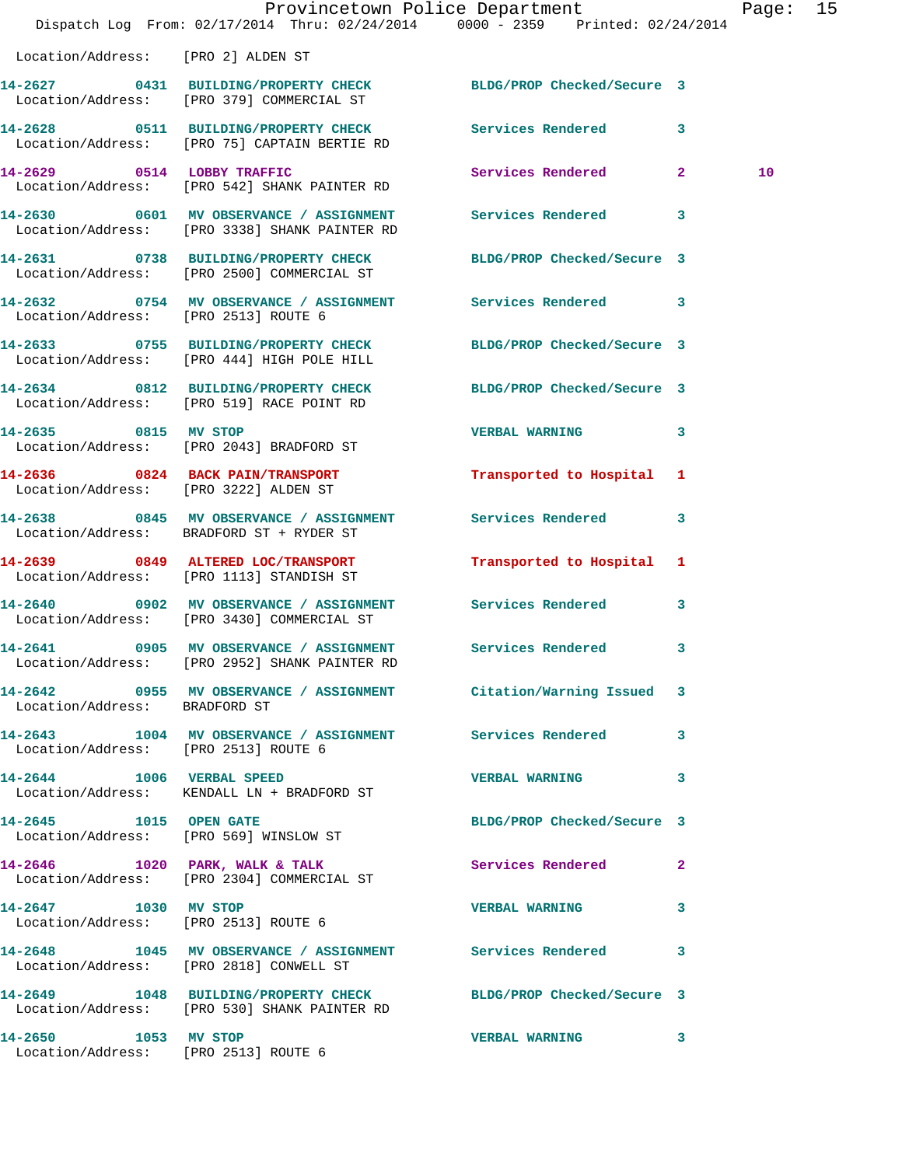|                                       | Dispatch Log From: 02/17/2014 Thru: 02/24/2014 0000 - 2359 Printed: 02/24/2014                                  | Provincetown Police Department Fage: 15 |              |    |  |
|---------------------------------------|-----------------------------------------------------------------------------------------------------------------|-----------------------------------------|--------------|----|--|
| Location/Address: [PRO 2] ALDEN ST    |                                                                                                                 |                                         |              |    |  |
|                                       | 14-2627 0431 BUILDING/PROPERTY CHECK BLDG/PROP Checked/Secure 3<br>Location/Address: [PRO 379] COMMERCIAL ST    |                                         |              |    |  |
|                                       | 14-2628 0511 BUILDING/PROPERTY CHECK Services Rendered 3<br>Location/Address: [PRO 75] CAPTAIN BERTIE RD        |                                         |              |    |  |
|                                       | 14-2629 0514 LOBBY TRAFFIC<br>Location/Address: [PRO 542] SHANK PAINTER RD                                      | Services Rendered 2                     |              | 10 |  |
|                                       | 14-2630 0601 MV OBSERVANCE / ASSIGNMENT Services Rendered 3<br>Location/Address: [PRO 3338] SHANK PAINTER RD    |                                         |              |    |  |
|                                       | 14-2631 0738 BUILDING/PROPERTY CHECK BLDG/PROP Checked/Secure 3<br>Location/Address: [PRO 2500] COMMERCIAL ST   |                                         |              |    |  |
| Location/Address: [PRO 2513] ROUTE 6  | 14-2632 0754 MV OBSERVANCE / ASSIGNMENT Services Rendered 3                                                     |                                         |              |    |  |
|                                       | 14-2633 0755 BUILDING/PROPERTY CHECK BLDG/PROP Checked/Secure 3<br>Location/Address: [PRO 444] HIGH POLE HILL   |                                         |              |    |  |
|                                       | 14-2634 0812 BUILDING/PROPERTY CHECK BLDG/PROP Checked/Secure 3<br>Location/Address: [PRO 519] RACE POINT RD    |                                         |              |    |  |
| 14-2635 0815 MV STOP                  | Location/Address: [PRO 2043] BRADFORD ST                                                                        | VERBAL WARNING 3                        |              |    |  |
| Location/Address: [PRO 3222] ALDEN ST | 14-2636 0824 BACK PAIN/TRANSPORT                                                                                | Transported to Hospital 1               |              |    |  |
|                                       | 14-2638 0845 MV OBSERVANCE / ASSIGNMENT Services Rendered 3<br>Location/Address: BRADFORD ST + RYDER ST         |                                         |              |    |  |
|                                       | 14-2639 0849 ALTERED LOC/TRANSPORT<br>Location/Address: [PRO 1113] STANDISH ST                                  | Transported to Hospital 1               |              |    |  |
|                                       | 14-2640 0902 MV OBSERVANCE / ASSIGNMENT Services Rendered<br>Location/Address: [PRO 3430] COMMERCIAL ST         |                                         | $\mathbf{3}$ |    |  |
|                                       | 14-2641 0905 MV OBSERVANCE / ASSIGNMENT Services Rendered<br>Location/Address: [PRO 2952] SHANK PAINTER RD      |                                         | 3            |    |  |
| Location/Address: BRADFORD ST         | 14-2642 0955 MV OBSERVANCE / ASSIGNMENT Citation/Warning Issued 3                                               |                                         |              |    |  |
| Location/Address: [PRO 2513] ROUTE 6  | 14-2643 1004 MV OBSERVANCE / ASSIGNMENT Services Rendered 3                                                     |                                         |              |    |  |
|                                       | 14-2644 1006 VERBAL SPEED<br>Location/Address: KENDALL LN + BRADFORD ST                                         | VERBAL WARNING 3                        |              |    |  |
|                                       | 14-2645 1015 OPEN GATE<br>Location/Address: [PRO 569] WINSLOW ST                                                | BLDG/PROP Checked/Secure 3              |              |    |  |
|                                       | 14-2646 1020 PARK, WALK & TALK 1988 Services Rendered 2<br>Location/Address: [PRO 2304] COMMERCIAL ST           |                                         |              |    |  |
| Location/Address: [PRO 2513] ROUTE 6  | 14-2647 1030 MV STOP                                                                                            | <b>VERBAL WARNING</b>                   | 3            |    |  |
|                                       | 14-2648 1045 MV OBSERVANCE / ASSIGNMENT Services Rendered 3<br>Location/Address: [PRO 2818] CONWELL ST          |                                         |              |    |  |
|                                       | 14-2649 1048 BUILDING/PROPERTY CHECK BLDG/PROP Checked/Secure 3<br>Location/Address: [PRO 530] SHANK PAINTER RD |                                         |              |    |  |
| 14-2650 1053 MV STOP                  | Location/Address: [PRO 2513] ROUTE 6                                                                            | <b>VERBAL WARNING</b>                   | 3            |    |  |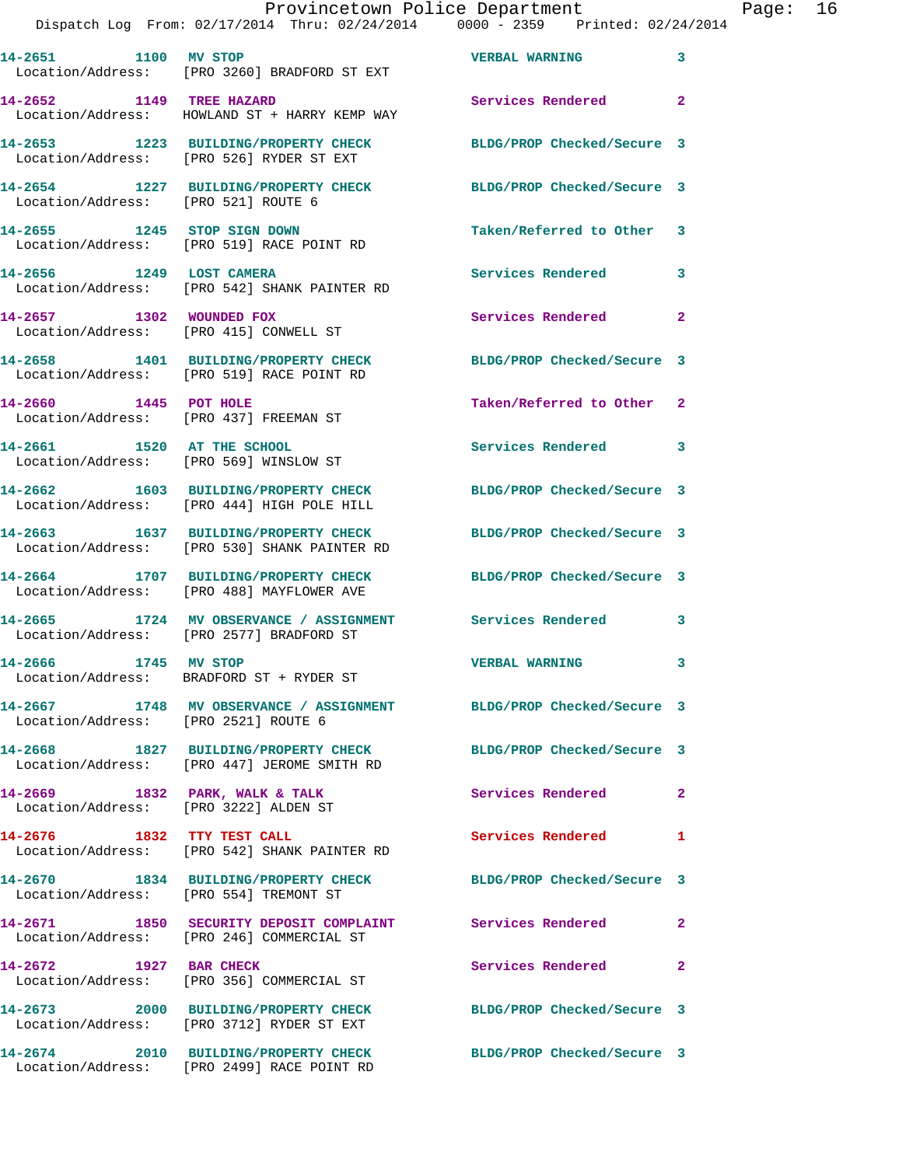| Provincetown Police Department |         |  |      | Page:                                          | 16 |                       |                                     |  |  |
|--------------------------------|---------|--|------|------------------------------------------------|----|-----------------------|-------------------------------------|--|--|
|                                |         |  |      | Dispatch Log From: 02/17/2014 Thru: 02/24/2014 |    |                       | $0000 - 2359$ Printed: $02/24/2014$ |  |  |
|                                |         |  |      |                                                |    |                       |                                     |  |  |
|                                | 14-2651 |  | 1100 | MV STOP                                        |    | <b>VERBAL WARNING</b> |                                     |  |  |

 Location/Address: [PRO 3260] BRADFORD ST EXT **14-2652 1149 TREE HAZARD Services Rendered 2** 

 Location/Address: HOWLAND ST + HARRY KEMP WAY **14-2653 1223 BUILDING/PROPERTY CHECK BLDG/PROP Checked/Secure 3**  Location/Address: [PRO 526] RYDER ST EXT

**14-2654 1227 BUILDING/PROPERTY CHECK BLDG/PROP Checked/Secure 3**  Location/Address: [PRO 521] ROUTE 6

**14-2655 1245 STOP SIGN DOWN Taken/Referred to Other 3**  Location/Address: [PRO 519] RACE POINT RD **14-2656 1249 LOST CAMERA Services Rendered 3**  Location/Address: [PRO 542] SHANK PAINTER RD

**14-2657 1302 WOUNDED FOX Services Rendered 2**  Location/Address: [PRO 415] CONWELL ST

**14-2658 1401 BUILDING/PROPERTY CHECK BLDG/PROP Checked/Secure 3**  Location/Address: [PRO 519] RACE POINT RD

**14-2660 1445 POT HOLE Taken/Referred to Other 2**  Location/Address: [PRO 437] FREEMAN ST

Location/Address: [PRO 569] WINSLOW ST

**14-2662 1603 BUILDING/PROPERTY CHECK BLDG/PROP Checked/Secure 3**  Location/Address: [PRO 444] HIGH POLE HILL

**14-2663 1637 BUILDING/PROPERTY CHECK BLDG/PROP Checked/Secure 3**  Location/Address: [PRO 530] SHANK PAINTER RD

**14-2664 1707 BUILDING/PROPERTY CHECK BLDG/PROP Checked/Secure 3**  Location/Address: [PRO 488] MAYFLOWER AVE

**14-2665 1724 MV OBSERVANCE / ASSIGNMENT Services Rendered 3**  Location/Address: [PRO 2577] BRADFORD ST

Location/Address: BRADFORD ST + RYDER ST

**14-2667 1748 MV OBSERVANCE / ASSIGNMENT BLDG/PROP Checked/Secure 3**  Location/Address: [PRO 2521] ROUTE 6

Location/Address: [PRO 447] JEROME SMITH RD

14-2669 1832 PARK, WALK & TALK **Services Rendered** 2 Location/Address: [PRO 3222] ALDEN ST

**14-2676 1832 TTY TEST CALL Services Rendered 1**  Location/Address: [PRO 542] SHANK PAINTER RD

**14-2670 1834 BUILDING/PROPERTY CHECK BLDG/PROP Checked/Secure 3**  Location/Address: [PRO 554] TREMONT ST

**14-2671 1850 SECURITY DEPOSIT COMPLAINT Services Rendered 2**  Location/Address: [PRO 246] COMMERCIAL ST

**14-2672 1927 BAR CHECK Services Rendered 2**  Location/Address: [PRO 356] COMMERCIAL ST

**14-2673 2000 BUILDING/PROPERTY CHECK BLDG/PROP Checked/Secure 3**  Location/Address: [PRO 3712] RYDER ST EXT

**14-2674 2010 BUILDING/PROPERTY CHECK BLDG/PROP Checked/Secure 3**  Location/Address: [PRO 2499] RACE POINT RD

**14-2661 1520 AT THE SCHOOL Services Rendered 3** 

**14-2666 1745 MV STOP VERBAL WARNING 3** 

**14-2668 1827 BUILDING/PROPERTY CHECK BLDG/PROP Checked/Secure 3**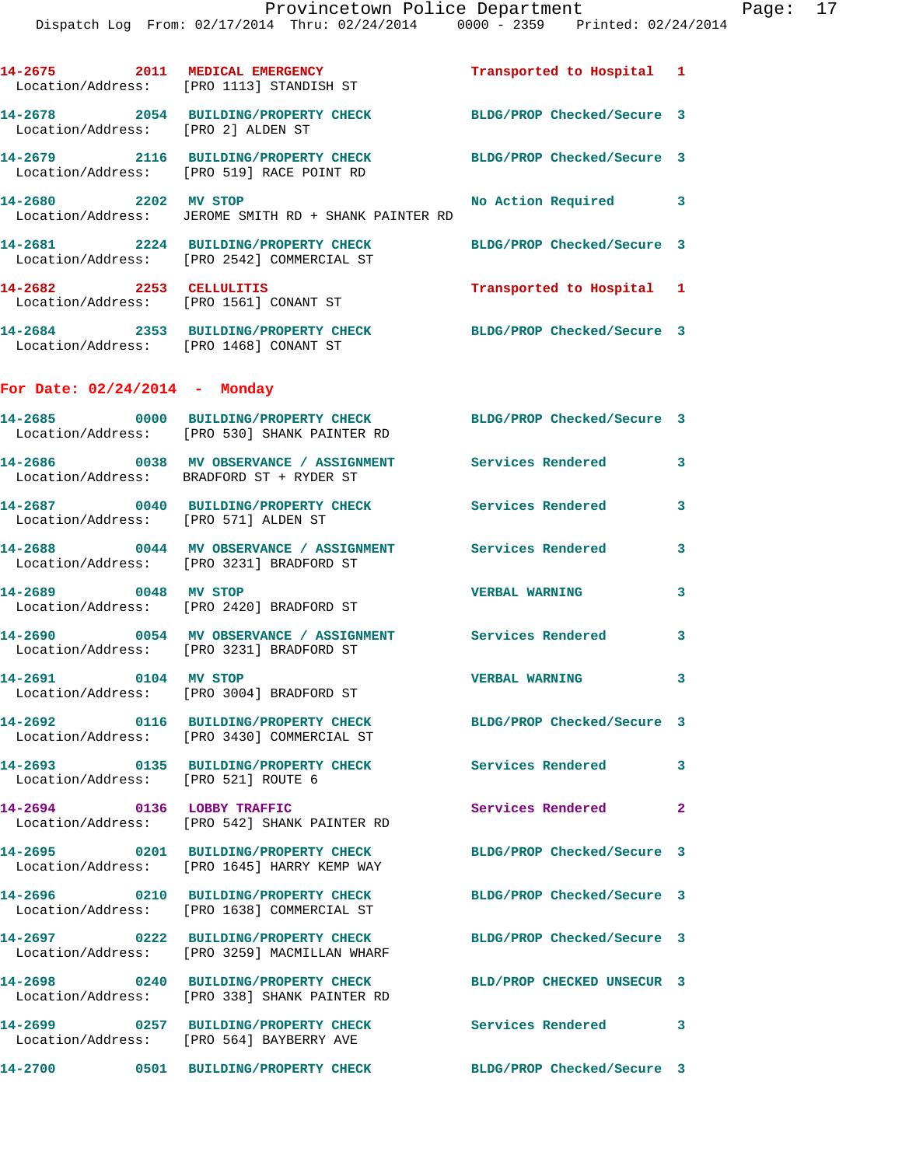|                                        | 14-2675 2011 MEDICAL EMERGENCY<br>Location/Address: [PRO 1113] STANDISH ST                                      | Transported to Hospital 1  |              |
|----------------------------------------|-----------------------------------------------------------------------------------------------------------------|----------------------------|--------------|
| Location/Address: [PRO 2] ALDEN ST     | 14-2678 2054 BUILDING/PROPERTY CHECK                                                                            | BLDG/PROP Checked/Secure 3 |              |
|                                        | 14-2679 2116 BUILDING/PROPERTY CHECK<br>Location/Address: [PRO 519] RACE POINT RD                               | BLDG/PROP Checked/Secure 3 |              |
| 14-2680 2202 MV STOP                   | Location/Address: JEROME SMITH RD + SHANK PAINTER RD                                                            | No Action Required 3       |              |
|                                        | 14-2681 2224 BUILDING/PROPERTY CHECK<br>Location/Address: [PRO 2542] COMMERCIAL ST                              | BLDG/PROP Checked/Secure 3 |              |
| 14-2682 2253 CELLULITIS                | Location/Address: [PRO 1561] CONANT ST                                                                          | Transported to Hospital 1  |              |
| Location/Address: [PRO 1468] CONANT ST | 14-2684 2353 BUILDING/PROPERTY CHECK                                                                            | BLDG/PROP Checked/Secure 3 |              |
| For Date: $02/24/2014$ - Monday        |                                                                                                                 |                            |              |
|                                        | 14-2685 0000 BUILDING/PROPERTY CHECK BLDG/PROP Checked/Secure 3<br>Location/Address: [PRO 530] SHANK PAINTER RD |                            |              |
|                                        | 14-2686 0038 MV OBSERVANCE / ASSIGNMENT<br>Location/Address: BRADFORD ST + RYDER ST                             | <b>Services Rendered</b>   | 3            |
| Location/Address: [PRO 571] ALDEN ST   | 14-2687 0040 BUILDING/PROPERTY CHECK                                                                            | Services Rendered          | 3            |
|                                        | Location/Address: [PRO 3231] BRADFORD ST                                                                        |                            | 3            |
| 14-2689 0048 MV STOP                   | Location/Address: [PRO 2420] BRADFORD ST                                                                        | <b>VERBAL WARNING</b>      | 3            |
|                                        | 14-2690 0054 MV OBSERVANCE / ASSIGNMENT<br>Location/Address: [PRO 3231] BRADFORD ST                             | Services Rendered          | 3            |
| 14-2691 0104 MV STOP                   | Location/Address: [PRO 3004] BRADFORD ST                                                                        | <b>VERBAL WARNING</b>      | 3            |
|                                        | 14-2692 0116 BUILDING/PROPERTY CHECK<br>Location/Address: [PRO 3430] COMMERCIAL ST                              | BLDG/PROP Checked/Secure 3 |              |
| Location/Address: [PRO 521] ROUTE 6    | 14-2693 0135 BUILDING/PROPERTY CHECK                                                                            | Services Rendered          | $\mathbf{3}$ |
|                                        | 14-2694 0136 LOBBY TRAFFIC<br>Location/Address: [PRO 542] SHANK PAINTER RD                                      | Services Rendered 2        |              |
|                                        | 14-2695 0201 BUILDING/PROPERTY CHECK<br>Location/Address: [PRO 1645] HARRY KEMP WAY                             | BLDG/PROP Checked/Secure 3 |              |
|                                        | 14-2696 0210 BUILDING/PROPERTY CHECK<br>Location/Address: [PRO 1638] COMMERCIAL ST                              | BLDG/PROP Checked/Secure 3 |              |
|                                        | 14-2697 0222 BUILDING/PROPERTY CHECK<br>Location/Address: [PRO 3259] MACMILLAN WHARF                            | BLDG/PROP Checked/Secure 3 |              |
|                                        | 14-2698 0240 BUILDING/PROPERTY CHECK<br>Location/Address: [PRO 338] SHANK PAINTER RD                            | BLD/PROP CHECKED UNSECUR 3 |              |
|                                        | 14-2699 0257 BUILDING/PROPERTY CHECK<br>Location/Address: [PRO 564] BAYBERRY AVE                                | Services Rendered 3        |              |
|                                        |                                                                                                                 | BLDG/PROP Checked/Secure 3 |              |
|                                        |                                                                                                                 |                            |              |